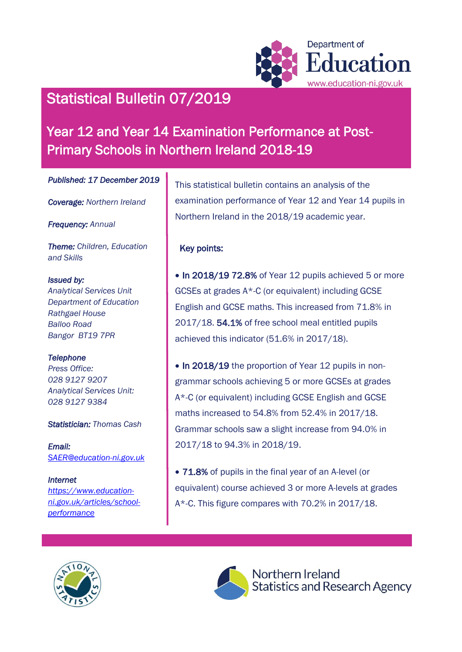

# Statistical Bulletin 07/2019

# Year 12 and Year 14 Examination Performance at Post-Primary Schools in Northern Ireland 2018-19

*Published: 17 December 2019* 

*Coverage: Northern Ireland*

*Frequency: Annual*

*Theme: Children, Education and Skills*

*Issued by: Analytical Services Unit Department of Education Rathgael House Balloo Road Bangor BT19 7PR*

*Telephone Press Office:*

*028 9127 9207 Analytical Services Unit: 028 9127 9384*

*Statistician: Thomas Cash*

*Email: [SAER@education-ni.gov.uk](mailto:SAER@education-ni.gov.uk)*

*Internet [https://www.education](https://www.education-ni.gov.uk/articles/school-performance)[ni.gov.uk/articles/school](https://www.education-ni.gov.uk/articles/school-performance)[performance](https://www.education-ni.gov.uk/articles/school-performance)*

This statistical bulletin contains an analysis of the examination performance of Year 12 and Year 14 pupils in Northern Ireland in the 2018/19 academic year.

# Key points:

• In 2018/19 72.8% of Year 12 pupils achieved 5 or more GCSEs at grades A\*-C (or equivalent) including GCSE English and GCSE maths. This increased from 71.8% in 2017/18. 54.1% of free school meal entitled pupils achieved this indicator (51.6% in 2017/18).

• In 2018/19 the proportion of Year 12 pupils in nongrammar schools achieving 5 or more GCSEs at grades A\*-C (or equivalent) including GCSE English and GCSE maths increased to 54.8% from 52.4% in 2017/18. Grammar schools saw a slight increase from 94.0% in 2017/18 to 94.3% in 2018/19.

• 71.8% of pupils in the final year of an A-level (or equivalent) course achieved 3 or more A-levels at grades A\*-C. This figure compares with 70.2% in 2017/18.





Northern Ireland<br>Statistics and Research Agency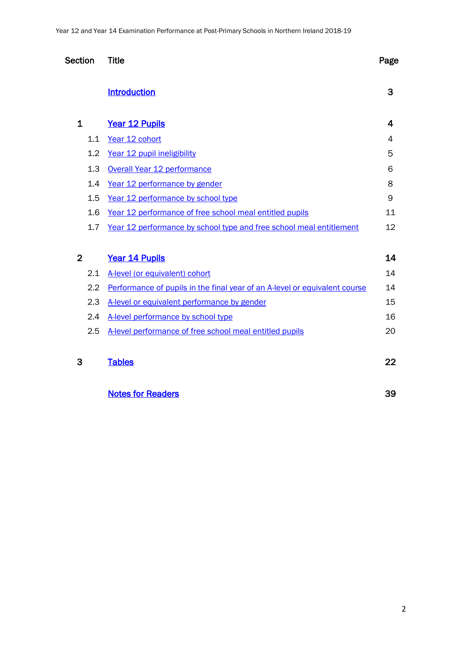| <b>Section</b> | <b>Title</b>                                                               | Page |
|----------------|----------------------------------------------------------------------------|------|
|                | <b>Introduction</b>                                                        | 3    |
| $\mathbf{1}$   | Year 12 Pupils                                                             | 4    |
| 1.1            | Year 12 cohort                                                             | 4    |
| 1.2            | Year 12 pupil ineligibility                                                | 5    |
| 1.3            | Overall Year 12 performance                                                | 6    |
| 1.4            | Year 12 performance by gender                                              | 8    |
| 1.5            | Year 12 performance by school type                                         | 9    |
| 1.6            | Year 12 performance of free school meal entitled pupils                    | 11   |
| 1.7            | Year 12 performance by school type and free school meal entitlement        | 12   |
|                |                                                                            |      |
| $\overline{2}$ | Year 14 Pupils                                                             | 14   |
| 2.1            | A-level (or equivalent) cohort                                             | 14   |
| 2.2            | Performance of pupils in the final year of an A-level or equivalent course | 14   |
| 2.3            | A-level or equivalent performance by gender                                | 15   |
| 2.4            | A-level performance by school type                                         | 16   |
| 2.5            | A-level performance of free school meal entitled pupils                    | 20   |
| 3              | <b>Tables</b>                                                              | 22   |
|                | <b>Notes for Readers</b>                                                   | 39   |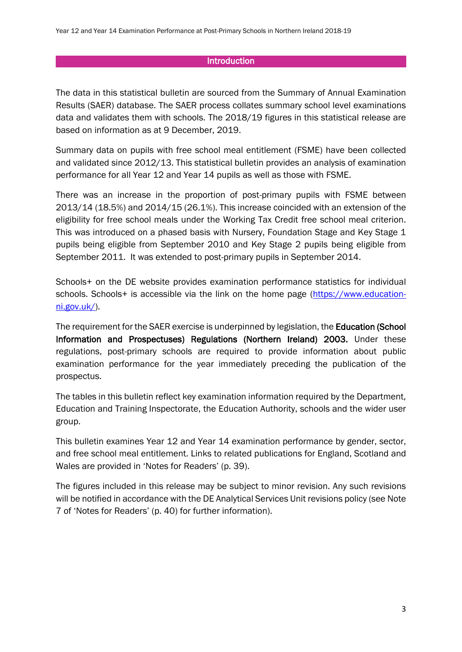#### **Introduction**

<span id="page-2-0"></span>The data in this statistical bulletin are sourced from the Summary of Annual Examination Results (SAER) database. The SAER process collates summary school level examinations data and validates them with schools. The 2018/19 figures in this statistical release are based on information as at 9 December, 2019.

Summary data on pupils with free school meal entitlement (FSME) have been collected and validated since 2012/13. This statistical bulletin provides an analysis of examination performance for all Year 12 and Year 14 pupils as well as those with FSME.

There was an increase in the proportion of post-primary pupils with FSME between 2013/14 (18.5%) and 2014/15 (26.1%). This increase coincided with an extension of the eligibility for free school meals under the Working Tax Credit free school meal criterion. This was introduced on a phased basis with Nursery, Foundation Stage and Key Stage 1 pupils being eligible from September 2010 and Key Stage 2 pupils being eligible from September 2011. It was extended to post-primary pupils in September 2014.

Schools+ on the DE website provides examination performance statistics for individual schools. Schools+ is accessible via the link on the home page [\(https://www.education](https://www.education-ni.gov.uk/)[ni.gov.uk/\)](https://www.education-ni.gov.uk/).

The requirement for the SAER exercise is underpinned by legislation, the Education (School Information and Prospectuses) Regulations (Northern Ireland) 2003. Under these regulations, post-primary schools are required to provide information about public examination performance for the year immediately preceding the publication of the prospectus.

The tables in this bulletin reflect key examination information required by the Department, Education and Training Inspectorate, the Education Authority, schools and the wider user group.

This bulletin examines Year 12 and Year 14 examination performance by gender, sector, and free school meal entitlement. Links to related publications for England, Scotland and Wales are provided in 'Notes for Readers' (p. 39).

The figures included in this release may be subject to minor revision. Any such revisions will be notified in accordance with the DE Analytical Services Unit revisions policy (see Note 7 of 'Notes for Readers' (p. 40) for further information).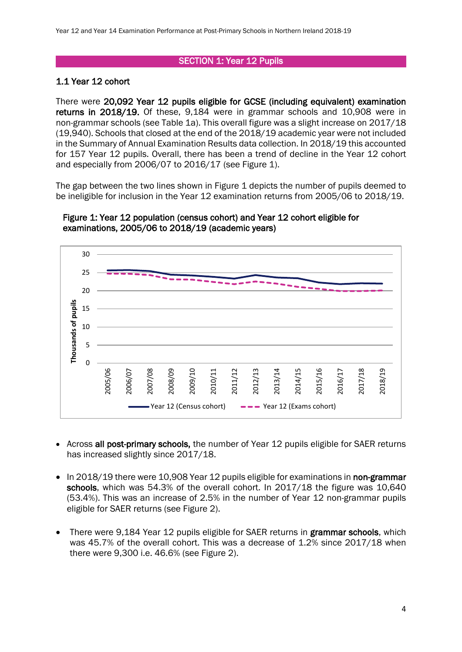### SECTION 1: Year 12 Pupils

# <span id="page-3-1"></span><span id="page-3-0"></span>1.1 Year 12 cohort

There were 20,092 Year 12 pupils eligible for GCSE (including equivalent) examination returns in 2018/19. Of these, 9,184 were in grammar schools and 10,908 were in non-grammar schools (see Table 1a). This overall figure was a slight increase on 2017/18 (19,940). Schools that closed at the end of the 2018/19 academic year were not included in the Summary of Annual Examination Results data collection. In 2018/19 this accounted for 157 Year 12 pupils. Overall, there has been a trend of decline in the Year 12 cohort and especially from 2006/07 to 2016/17 (see Figure 1).

The gap between the two lines shown in Figure 1 depicts the number of pupils deemed to be ineligible for inclusion in the Year 12 examination returns from 2005/06 to 2018/19.

### Figure 1: Year 12 population (census cohort) and Year 12 cohort eligible for examinations, 2005/06 to 2018/19 (academic years)



- Across all post-primary schools, the number of Year 12 pupils eligible for SAER returns has increased slightly since 2017/18.
- In 2018/19 there were 10,908 Year 12 pupils eligible for examinations in non-grammar schools, which was 54.3% of the overall cohort. In 2017/18 the figure was 10.640 (53.4%). This was an increase of 2.5% in the number of Year 12 non-grammar pupils eligible for SAER returns (see Figure 2).
- There were 9.184 Year 12 pupils eligible for SAER returns in grammar schools, which was 45.7% of the overall cohort. This was a decrease of 1.2% since 2017/18 when there were 9,300 i.e. 46.6% (see Figure 2).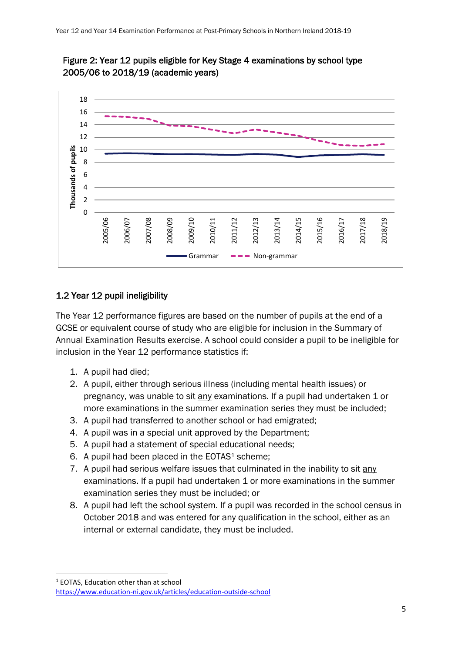



# <span id="page-4-0"></span>1.2 Year 12 pupil ineligibility

The Year 12 performance figures are based on the number of pupils at the end of a GCSE or equivalent course of study who are eligible for inclusion in the Summary of Annual Examination Results exercise. A school could consider a pupil to be ineligible for inclusion in the Year 12 performance statistics if:

1. A pupil had died;

1

- 2. A pupil, either through serious illness (including mental health issues) or pregnancy, was unable to sit any examinations. If a pupil had undertaken 1 or more examinations in the summer examination series they must be included;
- 3. A pupil had transferred to another school or had emigrated;
- 4. A pupil was in a special unit approved by the Department;
- 5. A pupil had a statement of special educational needs;
- 6. A pupil had been placed in the EOTAS<sup>1</sup> scheme;
- 7. A pupil had serious welfare issues that culminated in the inability to sit any examinations. If a pupil had undertaken 1 or more examinations in the summer examination series they must be included; or
- 8. A pupil had left the school system. If a pupil was recorded in the school census in October 2018 and was entered for any qualification in the school, either as an internal or external candidate, they must be included.

<sup>1</sup> EOTAS, Education other than at school <https://www.education-ni.gov.uk/articles/education-outside-school>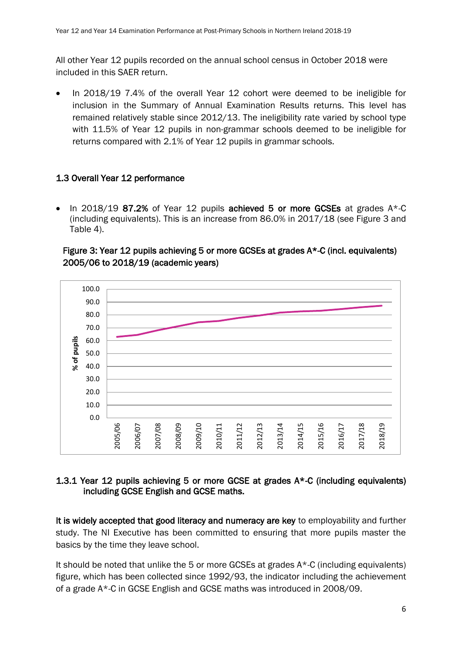All other Year 12 pupils recorded on the annual school census in October 2018 were included in this SAER return.

 In 2018/19 7.4% of the overall Year 12 cohort were deemed to be ineligible for inclusion in the Summary of Annual Examination Results returns. This level has remained relatively stable since 2012/13. The ineligibility rate varied by school type with 11.5% of Year 12 pupils in non-grammar schools deemed to be ineligible for returns compared with 2.1% of Year 12 pupils in grammar schools.

# <span id="page-5-0"></span>1.3 Overall Year 12 performance

 $\bullet$  In 2018/19 87.2% of Year 12 pupils achieved 5 or more GCSEs at grades A\*-C (including equivalents). This is an increase from 86.0% in 2017/18 (see Figure 3 and Table 4).

# Figure 3: Year 12 pupils achieving 5 or more GCSEs at grades A\*-C (incl. equivalents) 2005/06 to 2018/19 (academic years)



# 1.3.1 Year 12 pupils achieving 5 or more GCSE at grades A\*-C (including equivalents) including GCSE English and GCSE maths.

It is widely accepted that good literacy and numeracy are key to employability and further study. The NI Executive has been committed to ensuring that more pupils master the basics by the time they leave school.

It should be noted that unlike the 5 or more GCSEs at grades A\*-C (including equivalents) figure, which has been collected since 1992/93, the indicator including the achievement of a grade A\*-C in GCSE English and GCSE maths was introduced in 2008/09.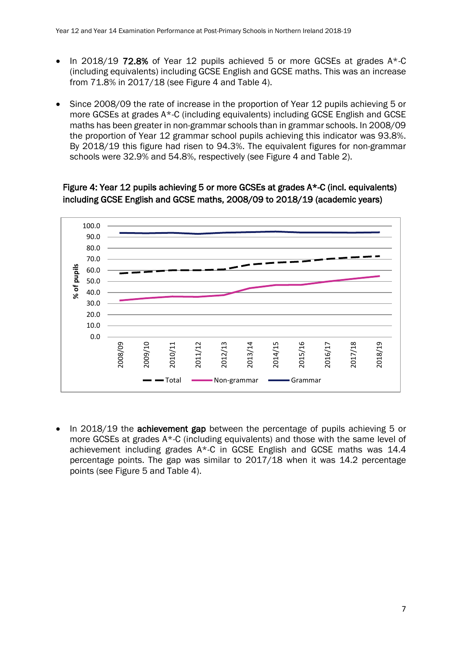- In 2018/19 72.8% of Year 12 pupils achieved 5 or more GCSEs at grades  $A^*$ -C (including equivalents) including GCSE English and GCSE maths. This was an increase from 71.8% in 2017/18 (see Figure 4 and Table 4).
- Since 2008/09 the rate of increase in the proportion of Year 12 pupils achieving 5 or more GCSEs at grades A\*-C (including equivalents) including GCSE English and GCSE maths has been greater in non-grammar schools than in grammar schools. In 2008/09 the proportion of Year 12 grammar school pupils achieving this indicator was 93.8%. By 2018/19 this figure had risen to 94.3%. The equivalent figures for non-grammar schools were 32.9% and 54.8%, respectively (see Figure 4 and Table 2).

# Figure 4: Year 12 pupils achieving 5 or more GCSEs at grades A\*-C (incl. equivalents) including GCSE English and GCSE maths, 2008/09 to 2018/19 (academic years)



 In 2018/19 the achievement gap between the percentage of pupils achieving 5 or more GCSEs at grades A\*-C (including equivalents) and those with the same level of achievement including grades A\*-C in GCSE English and GCSE maths was 14.4 percentage points. The gap was similar to 2017/18 when it was 14.2 percentage points (see Figure 5 and Table 4).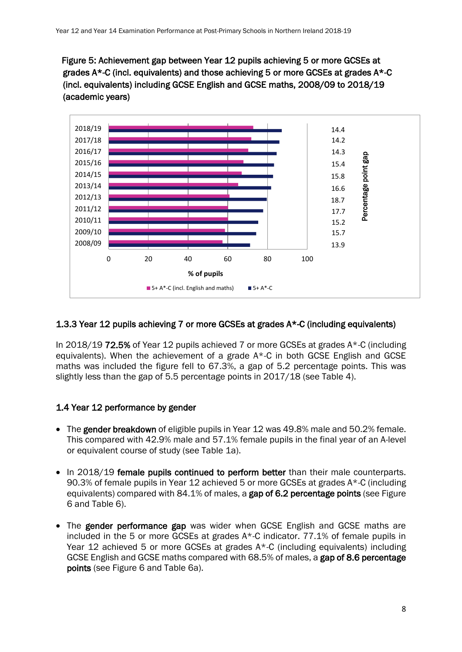Figure 5: Achievement gap between Year 12 pupils achieving 5 or more GCSEs at grades A\*-C (incl. equivalents) and those achieving 5 or more GCSEs at grades A\*-C (incl. equivalents) including GCSE English and GCSE maths, 2008/09 to 2018/19 (academic years)



# 1.3.3 Year 12 pupils achieving 7 or more GCSEs at grades A\*-C (including equivalents)

In 2018/19 72.5% of Year 12 pupils achieved 7 or more GCSEs at grades A\*-C (including equivalents). When the achievement of a grade A\*-C in both GCSE English and GCSE maths was included the figure fell to 67.3%, a gap of 5.2 percentage points. This was slightly less than the gap of 5.5 percentage points in 2017/18 (see Table 4).

# <span id="page-7-0"></span>1.4 Year 12 performance by gender

- The gender breakdown of eligible pupils in Year 12 was 49.8% male and 50.2% female. This compared with 42.9% male and 57.1% female pupils in the final year of an A-level or equivalent course of study (see Table 1a).
- In 2018/19 female pupils continued to perform better than their male counterparts. 90.3% of female pupils in Year 12 achieved 5 or more GCSEs at grades A\*-C (including equivalents) compared with 84.1% of males, a gap of 6.2 percentage points (see Figure 6 and Table 6).
- The gender performance gap was wider when GCSE English and GCSE maths are included in the 5 or more GCSEs at grades  $A^*$ -C indicator. 77.1% of female pupils in Year 12 achieved 5 or more GCSEs at grades A\*-C (including equivalents) including GCSE English and GCSE maths compared with 68.5% of males, a gap of 8.6 percentage points (see Figure 6 and Table 6a).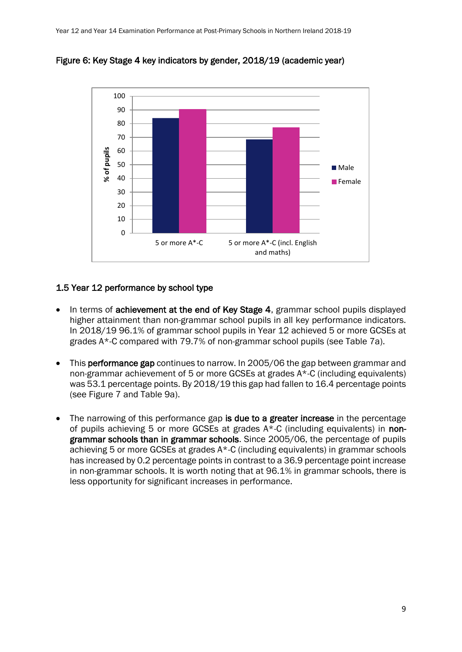



# <span id="page-8-0"></span>1.5 Year 12 performance by school type

- In terms of achievement at the end of Key Stage 4, grammar school pupils displayed higher attainment than non-grammar school pupils in all key performance indicators. In 2018/19 96.1% of grammar school pupils in Year 12 achieved 5 or more GCSEs at grades A\*-C compared with 79.7% of non-grammar school pupils (see Table 7a).
- This performance gap continues to narrow. In 2005/06 the gap between grammar and non-grammar achievement of 5 or more GCSEs at grades A\*-C (including equivalents) was 53.1 percentage points. By 2018/19 this gap had fallen to 16.4 percentage points (see Figure 7 and Table 9a).
- The narrowing of this performance gap is due to a greater increase in the percentage of pupils achieving 5 or more GCSEs at grades  $A^*$ -C (including equivalents) in nongrammar schools than in grammar schools. Since 2005/06, the percentage of pupils achieving 5 or more GCSEs at grades A\*-C (including equivalents) in grammar schools has increased by 0.2 percentage points in contrast to a 36.9 percentage point increase in non-grammar schools. It is worth noting that at 96.1% in grammar schools, there is less opportunity for significant increases in performance.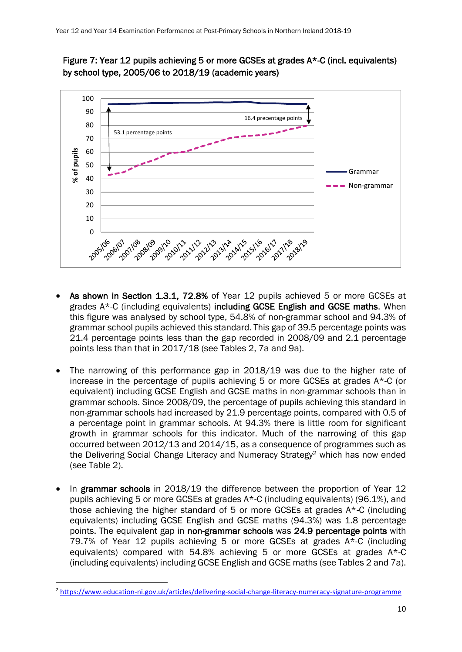Figure 7: Year 12 pupils achieving 5 or more GCSEs at grades A\*-C (incl. equivalents) by school type, 2005/06 to 2018/19 (academic years)



- As shown in Section 1.3.1, 72.8% of Year 12 pupils achieved 5 or more GCSEs at grades  $A^*$ -C (including equivalents) **including GCSE English and GCSE maths.** When this figure was analysed by school type, 54.8% of non-grammar school and 94.3% of grammar school pupils achieved this standard. This gap of 39.5 percentage points was 21.4 percentage points less than the gap recorded in 2008/09 and 2.1 percentage points less than that in 2017/18 (see Tables 2, 7a and 9a).
- The narrowing of this performance gap in 2018/19 was due to the higher rate of increase in the percentage of pupils achieving 5 or more GCSEs at grades A\*-C (or equivalent) including GCSE English and GCSE maths in non-grammar schools than in grammar schools. Since 2008/09, the percentage of pupils achieving this standard in non-grammar schools had increased by 21.9 percentage points, compared with 0.5 of a percentage point in grammar schools. At 94.3% there is little room for significant growth in grammar schools for this indicator. Much of the narrowing of this gap occurred between 2012/13 and 2014/15, as a consequence of programmes such as the Delivering Social Change Literacy and Numeracy Strategy<sup>2</sup> which has now ended (see Table 2).
- In grammar schools in 2018/19 the difference between the proportion of Year 12 pupils achieving 5 or more GCSEs at grades  $A^*$ -C (including equivalents) (96.1%), and those achieving the higher standard of 5 or more GCSEs at grades A\*-C (including equivalents) including GCSE English and GCSE maths (94.3%) was 1.8 percentage points. The equivalent gap in non-grammar schools was 24.9 percentage points with 79.7% of Year 12 pupils achieving 5 or more GCSEs at grades A\*-C (including equivalents) compared with 54.8% achieving 5 or more GCSEs at grades A\*-C (including equivalents) including GCSE English and GCSE maths (see Tables 2 and 7a).

**.** 

<sup>2</sup> <https://www.education-ni.gov.uk/articles/delivering-social-change-literacy-numeracy-signature-programme>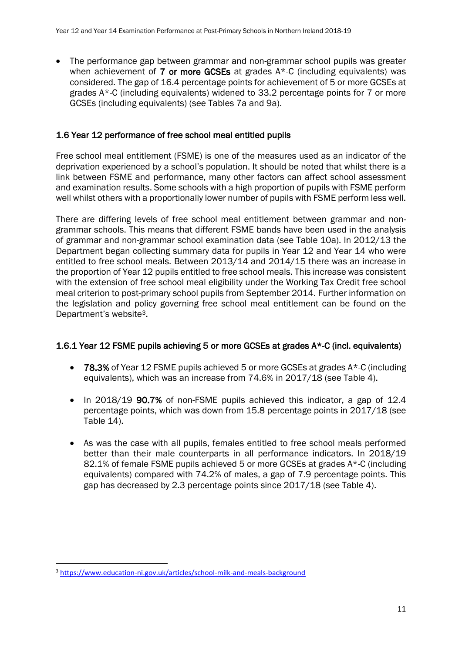The performance gap between grammar and non-grammar school pupils was greater when achievement of  $7$  or more GCSEs at grades  $A*$ -C (including equivalents) was considered. The gap of 16.4 percentage points for achievement of 5 or more GCSEs at grades  $A^*$ -C (including equivalents) widened to 33.2 percentage points for 7 or more GCSEs (including equivalents) (see Tables 7a and 9a).

# <span id="page-10-0"></span>1.6 Year 12 performance of free school meal entitled pupils

Free school meal entitlement (FSME) is one of the measures used as an indicator of the deprivation experienced by a school's population. It should be noted that whilst there is a link between FSME and performance, many other factors can affect school assessment and examination results. Some schools with a high proportion of pupils with FSME perform well whilst others with a proportionally lower number of pupils with FSME perform less well.

There are differing levels of free school meal entitlement between grammar and nongrammar schools. This means that different FSME bands have been used in the analysis of grammar and non-grammar school examination data (see Table 10a). In 2012/13 the Department began collecting summary data for pupils in Year 12 and Year 14 who were entitled to free school meals. Between 2013/14 and 2014/15 there was an increase in the proportion of Year 12 pupils entitled to free school meals. This increase was consistent with the extension of free school meal eligibility under the Working Tax Credit free school meal criterion to post-primary school pupils from September 2014. Further information on the legislation and policy governing free school meal entitlement can be found on the Department's website3.

# 1.6.1 Year 12 FSME pupils achieving 5 or more GCSEs at grades A\*-C (incl. equivalents)

- 78.3% of Year 12 FSME pupils achieved 5 or more GCSEs at grades A\*-C (including equivalents), which was an increase from 74.6% in 2017/18 (see Table 4).
- In 2018/19 90.7% of non-FSME pupils achieved this indicator, a gap of 12.4 percentage points, which was down from 15.8 percentage points in 2017/18 (see Table 14).
- As was the case with all pupils, females entitled to free school meals performed better than their male counterparts in all performance indicators. In 2018/19 82.1% of female FSME pupils achieved 5 or more GCSEs at grades A\*-C (including equivalents) compared with 74.2% of males, a gap of 7.9 percentage points. This gap has decreased by 2.3 percentage points since 2017/18 (see Table 4).

**.** 

<sup>3</sup> <https://www.education-ni.gov.uk/articles/school-milk-and-meals-background>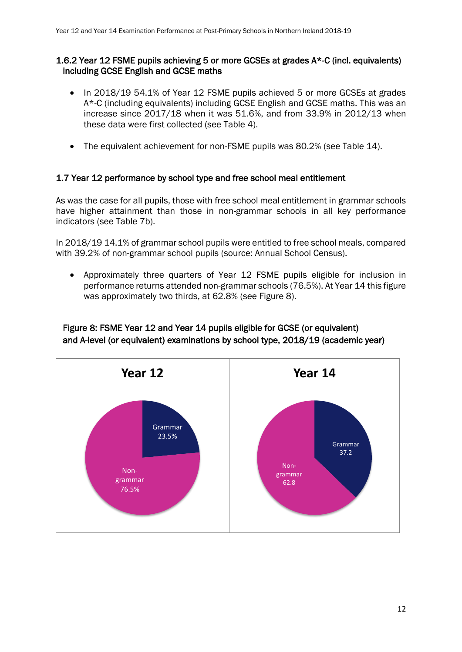# 1.6.2 Year 12 FSME pupils achieving 5 or more GCSEs at grades A\*-C (incl. equivalents) including GCSE English and GCSE maths

- In 2018/19 54.1% of Year 12 FSME pupils achieved 5 or more GCSEs at grades A\*-C (including equivalents) including GCSE English and GCSE maths. This was an increase since 2017/18 when it was 51.6%, and from 33.9% in 2012/13 when these data were first collected (see Table 4).
- The equivalent achievement for non-FSME pupils was 80.2% (see Table 14).

# <span id="page-11-0"></span>1.7 Year 12 performance by school type and free school meal entitlement

As was the case for all pupils, those with free school meal entitlement in grammar schools have higher attainment than those in non-grammar schools in all key performance indicators (see Table 7b).

In 2018/19 14.1% of grammar school pupils were entitled to free school meals, compared with 39.2% of non-grammar school pupils (source: Annual School Census).

 Approximately three quarters of Year 12 FSME pupils eligible for inclusion in performance returns attended non-grammar schools (76.5%). At Year 14 this figure was approximately two thirds, at 62.8% (see Figure 8).



# Figure 8: FSME Year 12 and Year 14 pupils eligible for GCSE (or equivalent) and A-level (or equivalent) examinations by school type, 2018/19 (academic year)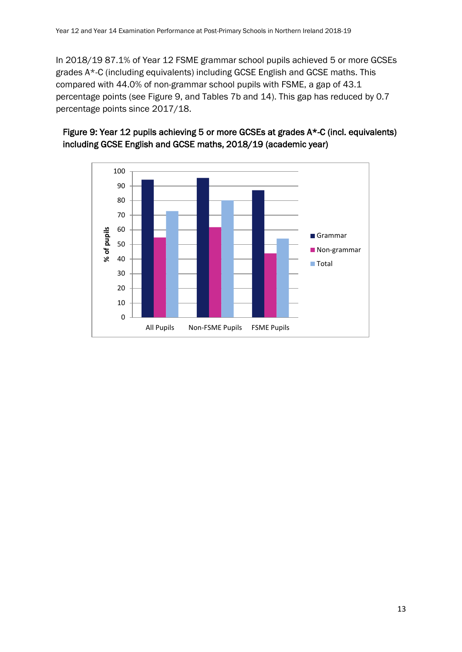In 2018/19 87.1% of Year 12 FSME grammar school pupils achieved 5 or more GCSEs grades A\*-C (including equivalents) including GCSE English and GCSE maths. This compared with 44.0% of non-grammar school pupils with FSME, a gap of 43.1 percentage points (see Figure 9, and Tables 7b and 14). This gap has reduced by 0.7 percentage points since 2017/18.

# Figure 9: Year 12 pupils achieving 5 or more GCSEs at grades A\*-C (incl. equivalents) including GCSE English and GCSE maths, 2018/19 (academic year)

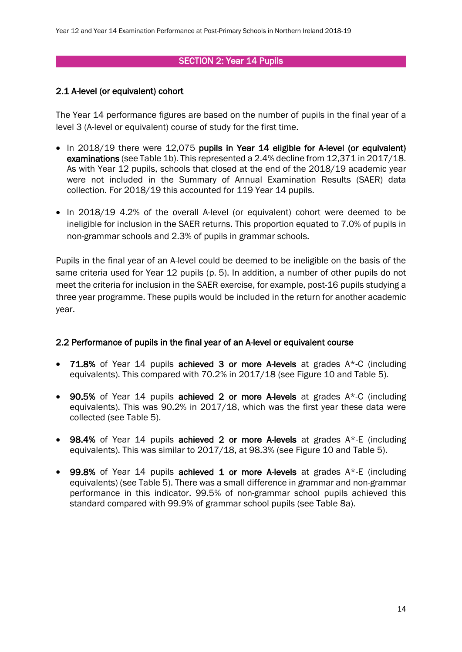### SECTION 2: Year 14 Pupils

### <span id="page-13-1"></span><span id="page-13-0"></span>2.1 A-level (or equivalent) cohort

The Year 14 performance figures are based on the number of pupils in the final year of a level 3 (A-level or equivalent) course of study for the first time.

- In 2018/19 there were 12,075 pupils in Year 14 eligible for A-level (or equivalent) examinations (see Table 1b). This represented a 2.4% decline from 12,371 in 2017/18. As with Year 12 pupils, schools that closed at the end of the 2018/19 academic year were not included in the Summary of Annual Examination Results (SAER) data collection. For 2018/19 this accounted for 119 Year 14 pupils.
- In 2018/19 4.2% of the overall A-level (or equivalent) cohort were deemed to be ineligible for inclusion in the SAER returns. This proportion equated to 7.0% of pupils in non-grammar schools and 2.3% of pupils in grammar schools.

Pupils in the final year of an A-level could be deemed to be ineligible on the basis of the same criteria used for Year 12 pupils (p. 5). In addition, a number of other pupils do not meet the criteria for inclusion in the SAER exercise, for example, post-16 pupils studying a three year programme. These pupils would be included in the return for another academic year.

### <span id="page-13-2"></span>2.2 Performance of pupils in the final year of an A-level or equivalent course

- 71.8% of Year 14 pupils achieved 3 or more A-levels at grades  $A^*$ -C (including equivalents). This compared with 70.2% in 2017/18 (see Figure 10 and Table 5).
- 90.5% of Year 14 pupils achieved 2 or more A-levels at grades  $A^*$ -C (including equivalents). This was 90.2% in 2017/18, which was the first year these data were collected (see Table 5).
- 98.4% of Year 14 pupils achieved 2 or more A-levels at grades  $A^*$ -E (including equivalents). This was similar to 2017/18, at 98.3% (see Figure 10 and Table 5).
- 99.8% of Year 14 pupils achieved 1 or more A-levels at grades A<sup>\*-</sup>E (including equivalents) (see Table 5). There was a small difference in grammar and non-grammar performance in this indicator. 99.5% of non-grammar school pupils achieved this standard compared with 99.9% of grammar school pupils (see Table 8a).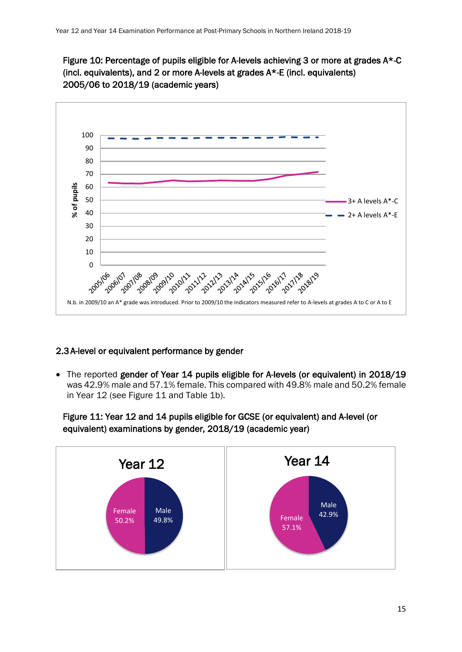



# <span id="page-14-0"></span>2.3A-level or equivalent performance by gender

• The reported gender of Year 14 pupils eligible for A-levels (or equivalent) in 2018/19 was 42.9% male and 57.1% female. This compared with 49.8% male and 50.2% female in Year 12 (see Figure 11 and Table 1b).



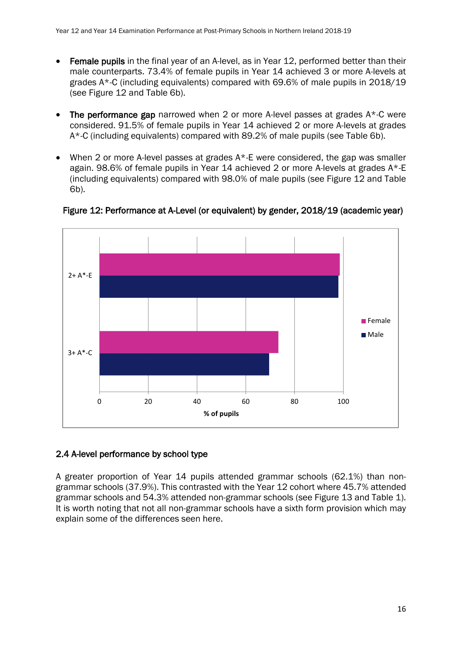- Female pupils in the final year of an A-level, as in Year 12, performed better than their male counterparts. 73.4% of female pupils in Year 14 achieved 3 or more A-levels at grades A\*-C (including equivalents) compared with 69.6% of male pupils in 2018/19 (see Figure 12 and Table 6b).
- The performance gap narrowed when 2 or more A-level passes at grades  $A^*$ -C were considered. 91.5% of female pupils in Year 14 achieved 2 or more A-levels at grades A\*-C (including equivalents) compared with 89.2% of male pupils (see Table 6b).
- When 2 or more A-level passes at grades A\*-E were considered, the gap was smaller again. 98.6% of female pupils in Year 14 achieved 2 or more A-levels at grades A\*-E (including equivalents) compared with 98.0% of male pupils (see Figure 12 and Table 6b).



Figure 12: Performance at A-Level (or equivalent) by gender, 2018/19 (academic year)

# <span id="page-15-0"></span>2.4 A-level performance by school type

A greater proportion of Year 14 pupils attended grammar schools (62.1%) than nongrammar schools (37.9%). This contrasted with the Year 12 cohort where 45.7% attended grammar schools and 54.3% attended non-grammar schools (see Figure 13 and Table 1). It is worth noting that not all non-grammar schools have a sixth form provision which may explain some of the differences seen here.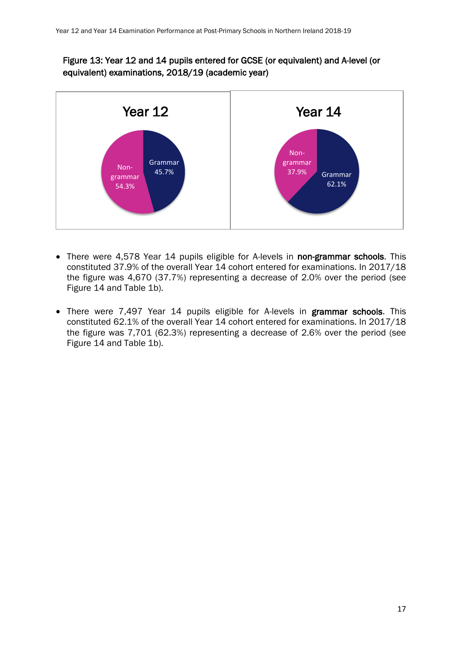# Figure 13: Year 12 and 14 pupils entered for GCSE (or equivalent) and A-level (or equivalent) examinations, 2018/19 (academic year)



- There were 4,578 Year 14 pupils eligible for A-levels in non-grammar schools. This constituted 37.9% of the overall Year 14 cohort entered for examinations. In 2017/18 the figure was 4,670 (37.7%) representing a decrease of 2.0% over the period (see Figure 14 and Table 1b).
- There were 7,497 Year 14 pupils eligible for A-levels in grammar schools. This constituted 62.1% of the overall Year 14 cohort entered for examinations. In 2017/18 the figure was 7,701 (62.3%) representing a decrease of 2.6% over the period (see Figure 14 and Table 1b).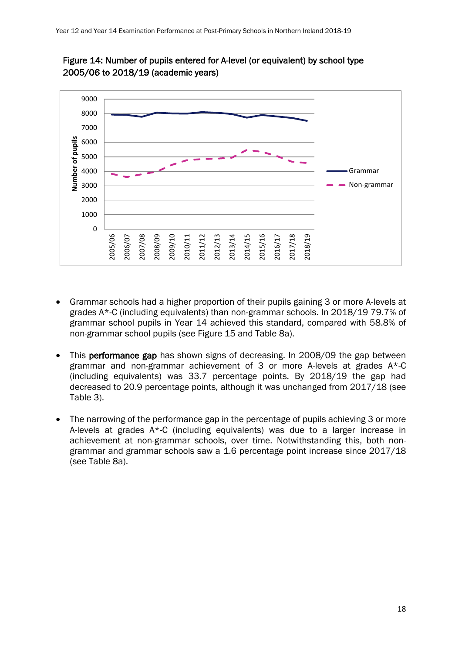

 Figure 14: Number of pupils entered for A-level (or equivalent) by school type 2005/06 to 2018/19 (academic years)

- Grammar schools had a higher proportion of their pupils gaining 3 or more A-levels at grades A\*-C (including equivalents) than non-grammar schools. In 2018/19 79.7% of grammar school pupils in Year 14 achieved this standard, compared with 58.8% of non-grammar school pupils (see Figure 15 and Table 8a).
- This performance gap has shown signs of decreasing. In 2008/09 the gap between grammar and non-grammar achievement of 3 or more A-levels at grades A\*-C (including equivalents) was 33.7 percentage points. By 2018/19 the gap had decreased to 20.9 percentage points, although it was unchanged from 2017/18 (see Table 3).
- The narrowing of the performance gap in the percentage of pupils achieving 3 or more A-levels at grades A\*-C (including equivalents) was due to a larger increase in achievement at non-grammar schools, over time. Notwithstanding this, both nongrammar and grammar schools saw a 1.6 percentage point increase since 2017/18 (see Table 8a).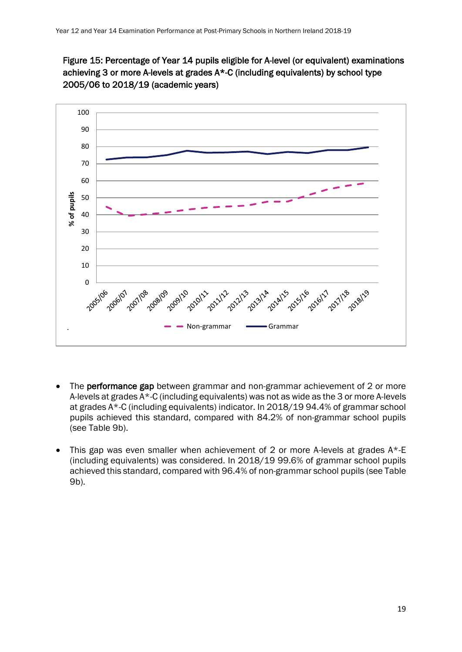



- The **performance gap** between grammar and non-grammar achievement of 2 or more A-levels at grades A\*-C (including equivalents) was not as wide as the 3 or more A-levels at grades A\*-C (including equivalents) indicator. In 2018/19 94.4% of grammar school pupils achieved this standard, compared with 84.2% of non-grammar school pupils (see Table 9b).
- This gap was even smaller when achievement of 2 or more A-levels at grades A\*-E (including equivalents) was considered. In 2018/19 99.6% of grammar school pupils achieved this standard, compared with 96.4% of non-grammar school pupils (see Table 9b).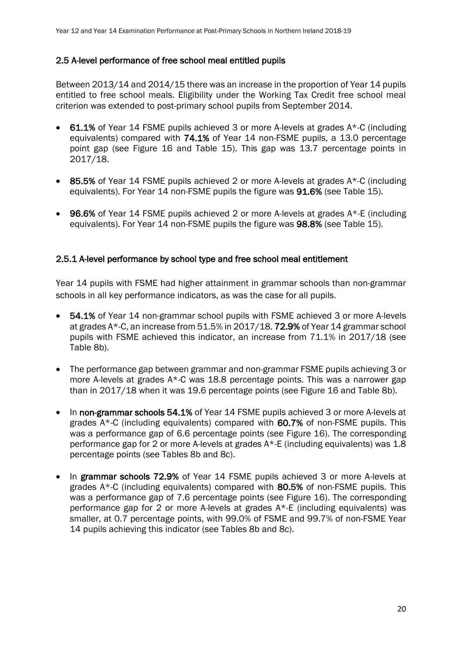# <span id="page-19-0"></span>2.5 A-level performance of free school meal entitled pupils

Between 2013/14 and 2014/15 there was an increase in the proportion of Year 14 pupils entitled to free school meals. Eligibility under the Working Tax Credit free school meal criterion was extended to post-primary school pupils from September 2014.

- 61.1% of Year 14 FSME pupils achieved 3 or more A-levels at grades A\*-C (including equivalents) compared with 74.1% of Year 14 non-FSME pupils, a 13.0 percentage point gap (see Figure 16 and Table 15). This gap was 13.7 percentage points in 2017/18.
- 85.5% of Year 14 FSME pupils achieved 2 or more A-levels at grades A\*-C (including equivalents). For Year 14 non-FSME pupils the figure was 91.6% (see Table 15).
- 96.6% of Year 14 FSME pupils achieved 2 or more A-levels at grades A\*-E (including equivalents). For Year 14 non-FSME pupils the figure was 98.8% (see Table 15).

### 2.5.1 A-level performance by school type and free school meal entitlement

Year 14 pupils with FSME had higher attainment in grammar schools than non-grammar schools in all key performance indicators, as was the case for all pupils.

- 54.1% of Year 14 non-grammar school pupils with FSME achieved 3 or more A-levels at grades A\*-C, an increase from 51.5% in 2017/18. 72.9% of Year 14 grammar school pupils with FSME achieved this indicator, an increase from 71.1% in 2017/18 (see Table 8b).
- The performance gap between grammar and non-grammar FSME pupils achieving 3 or more A-levels at grades A\*-C was 18.8 percentage points. This was a narrower gap than in 2017/18 when it was 19.6 percentage points (see Figure 16 and Table 8b).
- In non-grammar schools 54.1% of Year 14 FSME pupils achieved 3 or more A-levels at grades  $A^*$ -C (including equivalents) compared with 60.7% of non-FSME pupils. This was a performance gap of 6.6 percentage points (see Figure 16). The corresponding performance gap for 2 or more A-levels at grades A\*-E (including equivalents) was 1.8 percentage points (see Tables 8b and 8c).
- In grammar schools 72.9% of Year 14 FSME pupils achieved 3 or more A-levels at grades  $A^*$ -C (including equivalents) compared with 80.5% of non-FSME pupils. This was a performance gap of 7.6 percentage points (see Figure 16). The corresponding performance gap for 2 or more A-levels at grades A\*-E (including equivalents) was smaller, at 0.7 percentage points, with 99.0% of FSME and 99.7% of non-FSME Year 14 pupils achieving this indicator (see Tables 8b and 8c).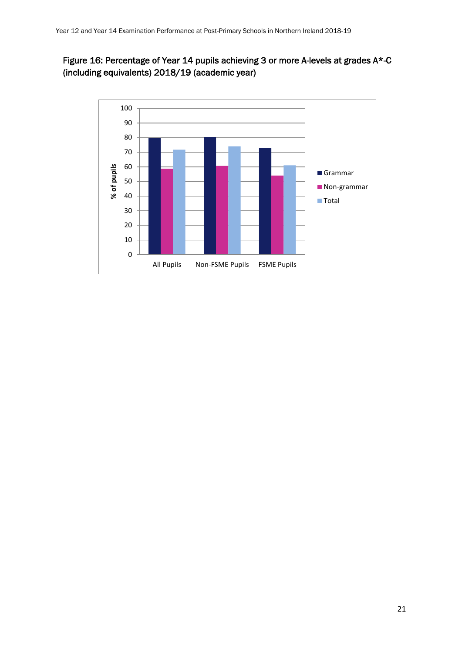# Figure 16: Percentage of Year 14 pupils achieving 3 or more A-levels at grades A\*-C (including equivalents) 2018/19 (academic year)

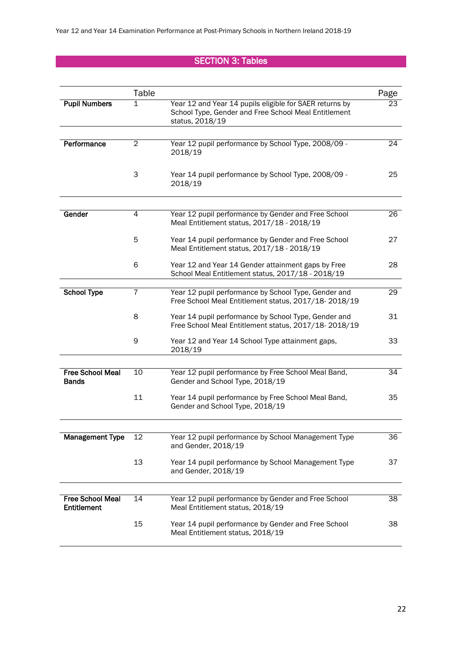# SECTION 3: Tables

<span id="page-21-0"></span>

|                                               | Table          |                                                                                                                                    | Page            |
|-----------------------------------------------|----------------|------------------------------------------------------------------------------------------------------------------------------------|-----------------|
| <b>Pupil Numbers</b>                          | 1              | Year 12 and Year 14 pupils eligible for SAER returns by<br>School Type, Gender and Free School Meal Entitlement<br>status, 2018/19 | 23              |
|                                               |                |                                                                                                                                    |                 |
| Performance                                   | $\overline{2}$ | Year 12 pupil performance by School Type, 2008/09 -<br>2018/19                                                                     | 24              |
|                                               | 3              | Year 14 pupil performance by School Type, 2008/09 -<br>2018/19                                                                     | 25              |
|                                               |                |                                                                                                                                    |                 |
| Gender                                        | 4              | Year 12 pupil performance by Gender and Free School<br>Meal Entitlement status, 2017/18 - 2018/19                                  | 26              |
|                                               | 5              | Year 14 pupil performance by Gender and Free School<br>Meal Entitlement status, 2017/18 - 2018/19                                  | 27              |
|                                               | 6              | Year 12 and Year 14 Gender attainment gaps by Free<br>School Meal Entitlement status, 2017/18 - 2018/19                            | 28              |
| <b>School Type</b>                            | 7              | Year 12 pupil performance by School Type, Gender and                                                                               | $\overline{29}$ |
|                                               |                | Free School Meal Entitlement status, 2017/18-2018/19                                                                               |                 |
|                                               | 8              | Year 14 pupil performance by School Type, Gender and<br>Free School Meal Entitlement status, 2017/18-2018/19                       | 31              |
|                                               | 9              | Year 12 and Year 14 School Type attainment gaps,<br>2018/19                                                                        | 33              |
|                                               |                |                                                                                                                                    |                 |
| <b>Free School Meal</b><br><b>Bands</b>       | 10             | Year 12 pupil performance by Free School Meal Band,<br>Gender and School Type, 2018/19                                             | $\overline{34}$ |
|                                               | 11             | Year 14 pupil performance by Free School Meal Band,<br>Gender and School Type, 2018/19                                             | 35              |
|                                               |                |                                                                                                                                    |                 |
| <b>Management Type</b>                        | 12             | Year 12 pupil performance by School Management Type<br>and Gender, 2018/19                                                         | 36              |
|                                               | 13             | Year 14 pupil performance by School Management Type<br>and Gender, 2018/19                                                         | 37              |
|                                               |                |                                                                                                                                    |                 |
| <b>Free School Meal</b><br><b>Entitlement</b> | 14             | Year 12 pupil performance by Gender and Free School<br>Meal Entitlement status, 2018/19                                            | 38              |
|                                               | 15             | Year 14 pupil performance by Gender and Free School<br>Meal Entitlement status, 2018/19                                            | 38              |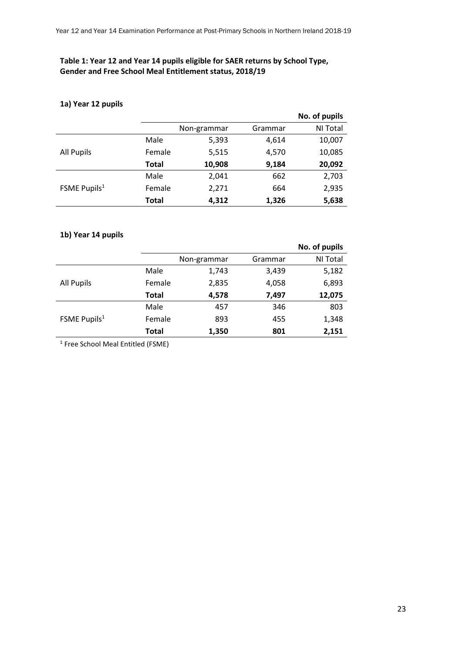### **Table 1: Year 12 and Year 14 pupils eligible for SAER returns by School Type, Gender and Free School Meal Entitlement status, 2018/19**

### **1a) Year 12 pupils**

|                   |              |             |         | No. of pupils |
|-------------------|--------------|-------------|---------|---------------|
|                   |              | Non-grammar | Grammar | NI Total      |
|                   | Male         | 5,393       | 4,614   | 10,007        |
| <b>All Pupils</b> | Female       | 5,515       | 4,570   | 10,085        |
|                   | <b>Total</b> | 10,908      | 9,184   | 20,092        |
|                   | Male         | 2,041       | 662     | 2,703         |
| FSME Pupils $1$   | Female       | 2,271       | 664     | 2,935         |
|                   | <b>Total</b> | 4,312       | 1,326   | 5,638         |

### **1b) Year 14 pupils**

|                          |              |             |         | No. of pupils |
|--------------------------|--------------|-------------|---------|---------------|
|                          |              | Non-grammar | Grammar | NI Total      |
|                          | Male         | 1,743       | 3,439   | 5,182         |
| <b>All Pupils</b>        | Female       | 2,835       | 4,058   | 6,893         |
|                          | <b>Total</b> | 4,578       | 7,497   | 12,075        |
|                          | Male         | 457         | 346     | 803           |
| FSME Pupils <sup>1</sup> | Female       | 893         | 455     | 1,348         |
|                          | <b>Total</b> | 1,350       | 801     | 2,151         |

<sup>1</sup> Free School Meal Entitled (FSME)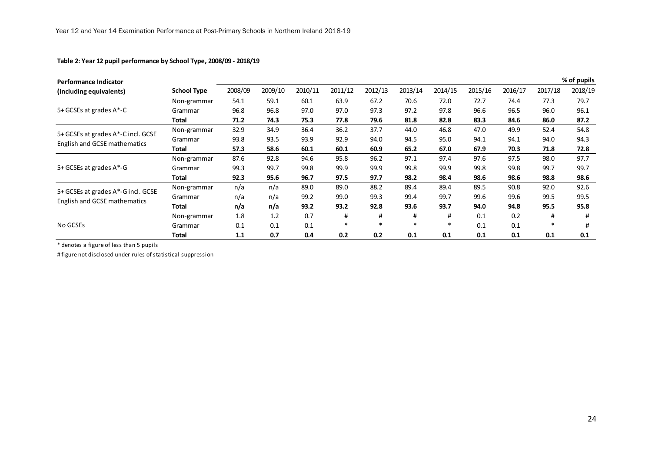#### **Table 2: Year 12 pupil performance by School Type, 2008/09 - 2018/19**

| Performance Indicator              |                    |         |         |         |         |         |         |         |         |         |         | % of pupils |
|------------------------------------|--------------------|---------|---------|---------|---------|---------|---------|---------|---------|---------|---------|-------------|
| (including equivalents)            | <b>School Type</b> | 2008/09 | 2009/10 | 2010/11 | 2011/12 | 2012/13 | 2013/14 | 2014/15 | 2015/16 | 2016/17 | 2017/18 | 2018/19     |
|                                    | Non-grammar        | 54.1    | 59.1    | 60.1    | 63.9    | 67.2    | 70.6    | 72.0    | 72.7    | 74.4    | 77.3    | 79.7        |
| 5+ GCSEs at grades A*-C            | Grammar            | 96.8    | 96.8    | 97.0    | 97.0    | 97.3    | 97.2    | 97.8    | 96.6    | 96.5    | 96.0    | 96.1        |
|                                    | Total              | 71.2    | 74.3    | 75.3    | 77.8    | 79.6    | 81.8    | 82.8    | 83.3    | 84.6    | 86.0    | 87.2        |
| 5+ GCSEs at grades A*-C incl. GCSE | Non-grammar        | 32.9    | 34.9    | 36.4    | 36.2    | 37.7    | 44.0    | 46.8    | 47.0    | 49.9    | 52.4    | 54.8        |
|                                    | Grammar            | 93.8    | 93.5    | 93.9    | 92.9    | 94.0    | 94.5    | 95.0    | 94.1    | 94.1    | 94.0    | 94.3        |
| English and GCSE mathematics       | Total              | 57.3    | 58.6    | 60.1    | 60.1    | 60.9    | 65.2    | 67.0    | 67.9    | 70.3    | 71.8    | 72.8        |
|                                    | Non-grammar        | 87.6    | 92.8    | 94.6    | 95.8    | 96.2    | 97.1    | 97.4    | 97.6    | 97.5    | 98.0    | 97.7        |
| 5+ GCSEs at grades A*-G            | Grammar            | 99.3    | 99.7    | 99.8    | 99.9    | 99.9    | 99.8    | 99.9    | 99.8    | 99.8    | 99.7    | 99.7        |
|                                    | Total              | 92.3    | 95.6    | 96.7    | 97.5    | 97.7    | 98.2    | 98.4    | 98.6    | 98.6    | 98.8    | 98.6        |
|                                    | Non-grammar        | n/a     | n/a     | 89.0    | 89.0    | 88.2    | 89.4    | 89.4    | 89.5    | 90.8    | 92.0    | 92.6        |
| 5+ GCSEs at grades A*-G incl. GCSE | Grammar            | n/a     | n/a     | 99.2    | 99.0    | 99.3    | 99.4    | 99.7    | 99.6    | 99.6    | 99.5    | 99.5        |
| English and GCSE mathematics       | Total              | n/a     | n/a     | 93.2    | 93.2    | 92.8    | 93.6    | 93.7    | 94.0    | 94.8    | 95.5    | 95.8        |
|                                    | Non-grammar        | 1.8     | 1.2     | 0.7     | #       | #       | #       | #       | 0.1     | 0.2     | #       | #           |
| No GCSEs                           | Grammar            | 0.1     | 0.1     | 0.1     | $\ast$  | $\ast$  | $\ast$  | $\ast$  | 0.1     | 0.1     | $\ast$  | #           |
|                                    | <b>Total</b>       | 1.1     | 0.7     | 0.4     | 0.2     | 0.2     | 0.1     | 0.1     | 0.1     | 0.1     | 0.1     | 0.1         |

\* denotes a figure of less than 5 pupils

# figure not disclosed under rules of statistical suppression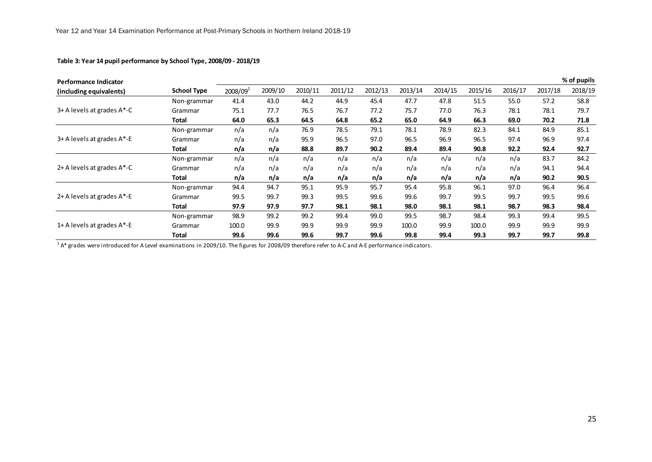#### **Table 3: Year 14 pupil performance by School Type, 2008/09 - 2018/19**

| Performance Indicator            |                    |                      |         |         |         |         |         |         |         |         |         | % of pupils |
|----------------------------------|--------------------|----------------------|---------|---------|---------|---------|---------|---------|---------|---------|---------|-------------|
| (including equivalents)          | <b>School Type</b> | 2008/09 <sup>1</sup> | 2009/10 | 2010/11 | 2011/12 | 2012/13 | 2013/14 | 2014/15 | 2015/16 | 2016/17 | 2017/18 | 2018/19     |
|                                  | Non-grammar        | 41.4                 | 43.0    | 44.2    | 44.9    | 45.4    | 47.7    | 47.8    | 51.5    | 55.0    | 57.2    | 58.8        |
| $3+$ A levels at grades $A^*$ -C | Grammar            | 75.1                 | 77.7    | 76.5    | 76.7    | 77.2    | 75.7    | 77.0    | 76.3    | 78.1    | 78.1    | 79.7        |
|                                  | Total              | 64.0                 | 65.3    | 64.5    | 64.8    | 65.2    | 65.0    | 64.9    | 66.3    | 69.0    | 70.2    | 71.8        |
|                                  | Non-grammar        | n/a                  | n/a     | 76.9    | 78.5    | 79.1    | 78.1    | 78.9    | 82.3    | 84.1    | 84.9    | 85.1        |
| $3+$ A levels at grades $A^*$ -E | Grammar            | n/a                  | n/a     | 95.9    | 96.5    | 97.0    | 96.5    | 96.9    | 96.5    | 97.4    | 96.9    | 97.4        |
|                                  | Total              | n/a                  | n/a     | 88.8    | 89.7    | 90.2    | 89.4    | 89.4    | 90.8    | 92.2    | 92.4    | 92.7        |
|                                  | Non-grammar        | n/a                  | n/a     | n/a     | n/a     | n/a     | n/a     | n/a     | n/a     | n/a     | 83.7    | 84.2        |
| 2+ A levels at grades $A^*$ -C   | Grammar            | n/a                  | n/a     | n/a     | n/a     | n/a     | n/a     | n/a     | n/a     | n/a     | 94.1    | 94.4        |
|                                  | Total              | n/a                  | n/a     | n/a     | n/a     | n/a     | n/a     | n/a     | n/a     | n/a     | 90.2    | 90.5        |
|                                  | Non-grammar        | 94.4                 | 94.7    | 95.1    | 95.9    | 95.7    | 95.4    | 95.8    | 96.1    | 97.0    | 96.4    | 96.4        |
| 2+ A levels at grades A*-E       | Grammar            | 99.5                 | 99.7    | 99.3    | 99.5    | 99.6    | 99.6    | 99.7    | 99.5    | 99.7    | 99.5    | 99.6        |
|                                  | Total              | 97.9                 | 97.9    | 97.7    | 98.1    | 98.1    | 98.0    | 98.1    | 98.1    | 98.7    | 98.3    | 98.4        |
|                                  | Non-grammar        | 98.9                 | 99.2    | 99.2    | 99.4    | 99.0    | 99.5    | 98.7    | 98.4    | 99.3    | 99.4    | 99.5        |
| 1+ A levels at grades $A^*$ -E   | Grammar            | 100.0                | 99.9    | 99.9    | 99.9    | 99.9    | 100.0   | 99.9    | 100.0   | 99.9    | 99.9    | 99.9        |
|                                  | Total              | 99.6                 | 99.6    | 99.6    | 99.7    | 99.6    | 99.8    | 99.4    | 99.3    | 99.7    | 99.7    | 99.8        |

 $1^4$ A\* grades were introduced for A Level examinations in 2009/10. The figures for 2008/09 therefore refer to A-C and A-E performance indicators.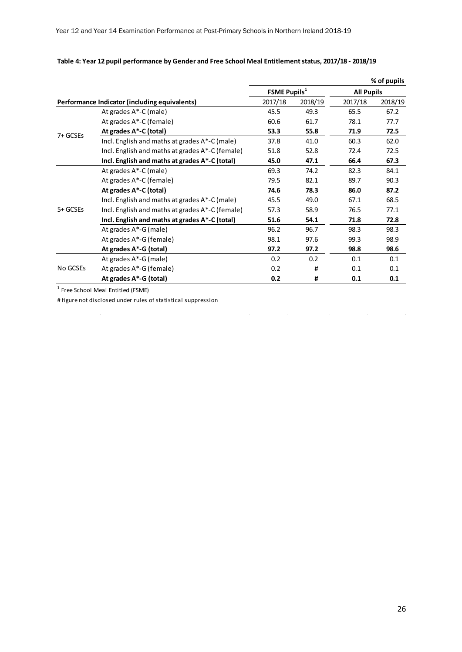|          |                                                 |                                 |         | % of pupils       |         |
|----------|-------------------------------------------------|---------------------------------|---------|-------------------|---------|
|          |                                                 | <b>FSME Pupils</b> <sup>1</sup> |         | <b>All Pupils</b> |         |
|          | Performance Indicator (including equivalents)   | 2017/18                         | 2018/19 | 2017/18           | 2018/19 |
|          | At grades A*-C (male)                           | 45.5                            | 49.3    | 65.5              | 67.2    |
|          | At grades A*-C (female)                         | 60.6                            | 61.7    | 78.1              | 77.7    |
| 7+ GCSEs | At grades A*-C (total)                          | 53.3                            | 55.8    | 71.9              | 72.5    |
|          | Incl. English and maths at grades A*-C (male)   | 37.8                            | 41.0    | 60.3              | 62.0    |
|          | Incl. English and maths at grades A*-C (female) | 51.8                            | 52.8    | 72.4              | 72.5    |
|          | Incl. English and maths at grades A*-C (total)  | 45.0                            | 47.1    | 66.4              | 67.3    |
|          | At grades A*-C (male)                           | 69.3                            | 74.2    | 82.3              | 84.1    |
|          | At grades A*-C (female)                         | 79.5                            | 82.1    | 89.7              | 90.3    |
|          | At grades A*-C (total)                          | 74.6                            | 78.3    | 86.0              | 87.2    |
|          | Incl. English and maths at grades A*-C (male)   | 45.5                            | 49.0    | 67.1              | 68.5    |
| 5+ GCSEs | Incl. English and maths at grades A*-C (female) | 57.3                            | 58.9    | 76.5              | 77.1    |
|          | Incl. English and maths at grades A*-C (total)  | 51.6                            | 54.1    | 71.8              | 72.8    |
|          | At grades A*-G (male)                           | 96.2                            | 96.7    | 98.3              | 98.3    |
|          | At grades A*-G (female)                         | 98.1                            | 97.6    | 99.3              | 98.9    |
|          | At grades A*-G (total)                          | 97.2                            | 97.2    | 98.8              | 98.6    |
|          | At grades A*-G (male)                           | 0.2                             | 0.2     | 0.1               | 0.1     |
| No GCSEs | At grades A*-G (female)                         | 0.2                             | #       | 0.1               | 0.1     |
|          | At grades A*-G (total)                          | 0.2                             | #       | 0.1               | 0.1     |

### **Table 4: Year 12 pupil performance by Gender and Free School Meal Entitlement status, 2017/18 - 2018/19**

<sup>1</sup> Free School Meal Entitled (FSME)

# figure not disclosed under rules of statistical suppression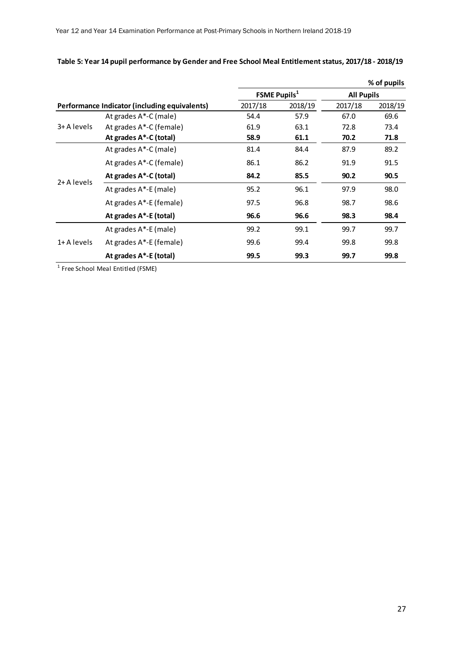|               |                                               |                                 |         |                   | % of pupils |  |
|---------------|-----------------------------------------------|---------------------------------|---------|-------------------|-------------|--|
|               |                                               | <b>FSME Pupils</b> <sup>1</sup> |         | <b>All Pupils</b> |             |  |
|               | Performance Indicator (including equivalents) | 2017/18                         | 2018/19 | 2017/18           | 2018/19     |  |
|               | At grades A*-C (male)                         | 54.4                            | 57.9    | 67.0              | 69.6        |  |
| 3+ A levels   | At grades A*-C (female)                       | 61.9                            | 63.1    | 72.8              | 73.4        |  |
|               | At grades A*-C (total)                        | 58.9                            | 61.1    | 70.2              | 71.8        |  |
|               | At grades A*-C (male)                         | 81.4                            | 84.4    | 87.9              | 89.2        |  |
|               | At grades A*-C (female)                       | 86.1                            | 86.2    | 91.9              | 91.5        |  |
| 2+ A levels   | At grades A*-C (total)                        | 84.2                            | 85.5    | 90.2              | 90.5        |  |
|               | At grades A*-E (male)                         | 95.2                            | 96.1    | 97.9              | 98.0        |  |
|               | At grades A*-E (female)                       | 97.5                            | 96.8    | 98.7              | 98.6        |  |
|               | At grades A*-E (total)                        | 96.6                            | 96.6    | 98.3              | 98.4        |  |
|               | At grades A*-E (male)                         | 99.2                            | 99.1    | 99.7              | 99.7        |  |
| $1+$ A levels | At grades A*-E (female)                       | 99.6                            | 99.4    | 99.8              | 99.8        |  |
|               | At grades A*-E (total)                        | 99.5                            | 99.3    | 99.7              | 99.8        |  |

# **Table 5: Year 14 pupil performance by Gender and Free School Meal Entitlement status, 2017/18 - 2018/19**

<sup>1</sup> Free School Meal Entitled (FSME)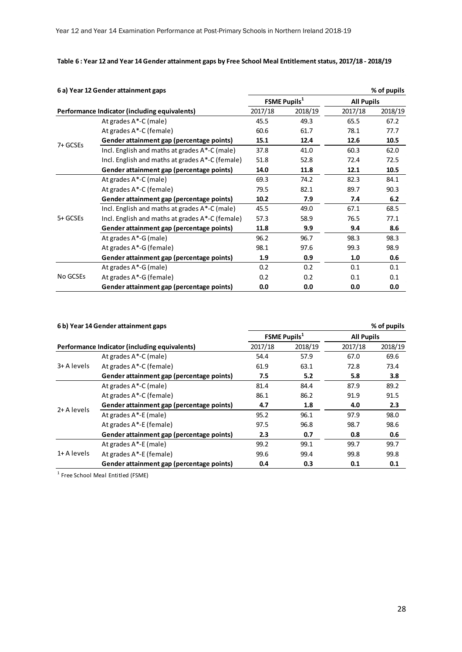# **Table 6 : Year 12 and Year 14 Gender attainment gaps by Free School Meal Entitlement status, 2017/18 - 2018/19**

|          | 6 a) Year 12 Gender attainment gaps             |         |                                 |                   | % of pupils |
|----------|-------------------------------------------------|---------|---------------------------------|-------------------|-------------|
|          |                                                 |         | <b>FSME Pupils</b> <sup>1</sup> | <b>All Pupils</b> |             |
|          | Performance Indicator (including equivalents)   | 2017/18 | 2018/19                         | 2017/18           | 2018/19     |
|          | At grades A*-C (male)                           | 45.5    | 49.3                            | 65.5              | 67.2        |
|          | At grades A*-C (female)                         | 60.6    | 61.7                            | 78.1              | 77.7        |
| 7+ GCSEs | Gender attainment gap (percentage points)       | 15.1    | 12.4                            | 12.6              | 10.5        |
|          | Incl. English and maths at grades A*-C (male)   | 37.8    | 41.0                            | 60.3              | 62.0        |
|          | Incl. English and maths at grades A*-C (female) | 51.8    | 52.8                            | 72.4              | 72.5        |
|          | Gender attainment gap (percentage points)       | 14.0    | 11.8                            | 12.1              | 10.5        |
|          | At grades A*-C (male)                           | 69.3    | 74.2                            | 82.3              | 84.1        |
|          | At grades A*-C (female)                         | 79.5    | 82.1                            | 89.7              | 90.3        |
|          | Gender attainment gap (percentage points)       | 10.2    | 7.9                             | 7.4               | 6.2         |
|          | Incl. English and maths at grades A*-C (male)   | 45.5    | 49.0                            | 67.1              | 68.5        |
| 5+ GCSEs | Incl. English and maths at grades A*-C (female) | 57.3    | 58.9                            | 76.5              | 77.1        |
|          | Gender attainment gap (percentage points)       | 11.8    | 9.9                             | 9.4               | 8.6         |
|          | At grades A*-G (male)                           | 96.2    | 96.7                            | 98.3              | 98.3        |
|          | At grades A*-G (female)                         | 98.1    | 97.6                            | 99.3              | 98.9        |
|          | Gender attainment gap (percentage points)       | 1.9     | 0.9                             | 1.0               | 0.6         |
|          | At grades A*-G (male)                           | 0.2     | 0.2                             | 0.1               | 0.1         |
| No GCSEs | At grades A*-G (female)                         | 0.2     | 0.2                             | 0.1               | 0.1         |
|          | Gender attainment gap (percentage points)       | 0.0     | 0.0                             | 0.0               | 0.0         |

|               | 6 b) Year 14 Gender attainment gaps           |         |                                 | % of pupils       |         |  |
|---------------|-----------------------------------------------|---------|---------------------------------|-------------------|---------|--|
|               |                                               |         | <b>FSME Pupils</b> <sup>1</sup> | <b>All Pupils</b> |         |  |
|               | Performance Indicator (including equivalents) | 2017/18 | 2018/19                         | 2017/18           | 2018/19 |  |
|               | At grades A*-C (male)                         | 54.4    | 57.9                            | 67.0              | 69.6    |  |
| 3+ A levels   | At grades A*-C (female)                       | 61.9    | 63.1                            | 72.8              | 73.4    |  |
|               | Gender attainment gap (percentage points)     | 7.5     | 5.2                             | 5.8               | 3.8     |  |
|               | At grades A*-C (male)                         | 81.4    | 84.4                            | 87.9              | 89.2    |  |
|               | At grades A*-C (female)                       | 86.1    | 86.2                            | 91.9              | 91.5    |  |
| 2+ A levels   | Gender attainment gap (percentage points)     | 4.7     | 1.8                             | 4.0               | 2.3     |  |
|               | At grades A*-E (male)                         | 95.2    | 96.1                            | 97.9              | 98.0    |  |
|               | At grades A*-E (female)                       | 97.5    | 96.8                            | 98.7              | 98.6    |  |
|               | Gender attainment gap (percentage points)     | 2.3     | 0.7                             | 0.8               | 0.6     |  |
| $1+$ A levels | At grades A*-E (male)                         | 99.2    | 99.1                            | 99.7              | 99.7    |  |
|               | At grades A*-E (female)                       | 99.6    | 99.4                            | 99.8              | 99.8    |  |
|               | Gender attainment gap (percentage points)     | 0.4     | 0.3                             | 0.1               | 0.1     |  |
|               |                                               |         |                                 |                   |         |  |

<sup>1</sup> Free School Meal Entitled (FSME)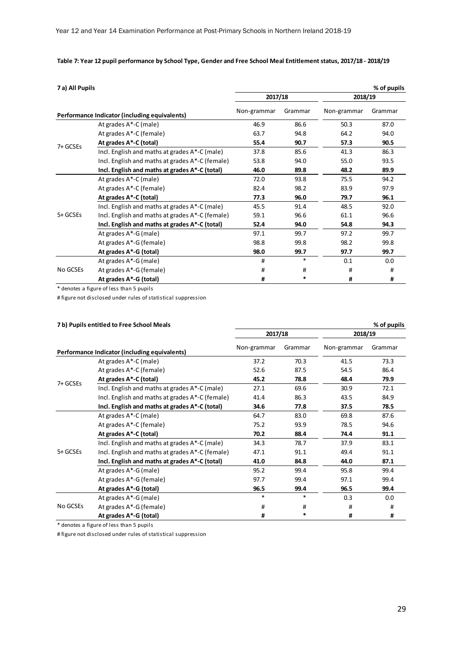#### **Table 7: Year 12 pupil performance by School Type, Gender and Free School Meal Entitlement status, 2017/18 - 2018/19**

|          | 7 a) All Pupils                                 |             |         |             | % of pupils |
|----------|-------------------------------------------------|-------------|---------|-------------|-------------|
|          |                                                 | 2017/18     |         | 2018/19     |             |
|          | Performance Indicator (including equivalents)   | Non-grammar | Grammar | Non-grammar | Grammar     |
|          | At grades A*-C (male)                           | 46.9        | 86.6    | 50.3        | 87.0        |
|          | At grades A*-C (female)                         | 63.7        | 94.8    | 64.2        | 94.0        |
| 7+ GCSEs | At grades A*-C (total)                          | 55.4        | 90.7    | 57.3        | 90.5        |
|          | Incl. English and maths at grades A*-C (male)   | 37.8        | 85.6    | 41.3        | 86.3        |
|          | Incl. English and maths at grades A*-C (female) | 53.8        | 94.0    | 55.0        | 93.5        |
|          | Incl. English and maths at grades A*-C (total)  | 46.0        | 89.8    | 48.2        | 89.9        |
|          | At grades A*-C (male)                           | 72.0        | 93.8    | 75.5        | 94.2        |
|          | At grades A*-C (female)                         | 82.4        | 98.2    | 83.9        | 97.9        |
|          | At grades A*-C (total)                          | 77.3        | 96.0    | 79.7        | 96.1        |
|          | Incl. English and maths at grades A*-C (male)   | 45.5        | 91.4    | 48.5        | 92.0        |
| 5+ GCSEs | Incl. English and maths at grades A*-C (female) | 59.1        | 96.6    | 61.1        | 96.6        |
|          | Incl. English and maths at grades A*-C (total)  | 52.4        | 94.0    | 54.8        | 94.3        |
|          | At grades A*-G (male)                           | 97.1        | 99.7    | 97.2        | 99.7        |
|          | At grades A*-G (female)                         | 98.8        | 99.8    | 98.2        | 99.8        |
|          | At grades A*-G (total)                          | 98.0        | 99.7    | 97.7        | 99.7        |
|          | At grades A*-G (male)                           | #           | *       | 0.1         | 0.0         |
| No GCSEs | At grades A*-G (female)                         | #           | #       | #           | #           |
|          | At grades A*-G (total)                          | #           | *       | #           | #           |

\* denotes a figure of less than 5 pupils

# figure not disclosed under rules of statistical suppression

|          | 7 b) Pupils entitled to Free School Meals       |             |         |             | % of pupils |  |
|----------|-------------------------------------------------|-------------|---------|-------------|-------------|--|
|          |                                                 | 2017/18     |         |             | 2018/19     |  |
|          | Performance Indicator (including equivalents)   | Non-grammar | Grammar | Non-grammar | Grammar     |  |
|          | At grades A*-C (male)                           | 37.2        | 70.3    | 41.5        | 73.3        |  |
|          | At grades A*-C (female)                         | 52.6        | 87.5    | 54.5        | 86.4        |  |
|          | At grades A*-C (total)                          | 45.2        | 78.8    | 48.4        | 79.9        |  |
| 7+ GCSEs | Incl. English and maths at grades A*-C (male)   | 27.1        | 69.6    | 30.9        | 72.1        |  |
|          | Incl. English and maths at grades A*-C (female) | 41.4        | 86.3    | 43.5        | 84.9        |  |
|          | Incl. English and maths at grades A*-C (total)  | 34.6        | 77.8    | 37.5        | 78.5        |  |
|          | At grades A*-C (male)                           | 64.7        | 83.0    | 69.8        | 87.6        |  |
|          | At grades A*-C (female)                         | 75.2        | 93.9    | 78.5        | 94.6        |  |
|          | At grades A*-C (total)                          | 70.2        | 88.4    | 74.4        | 91.1        |  |
|          | Incl. English and maths at grades A*-C (male)   | 34.3        | 78.7    | 37.9        | 83.1        |  |
| 5+ GCSEs | Incl. English and maths at grades A*-C (female) | 47.1        | 91.1    | 49.4        | 91.1        |  |
|          | Incl. English and maths at grades A*-C (total)  | 41.0        | 84.8    | 44.0        | 87.1        |  |
|          | At grades A*-G (male)                           | 95.2        | 99.4    | 95.8        | 99.4        |  |
|          | At grades A*-G (female)                         | 97.7        | 99.4    | 97.1        | 99.4        |  |
|          | At grades A*-G (total)                          | 96.5        | 99.4    | 96.5        | 99.4        |  |
|          | At grades A*-G (male)                           | *           | *       | 0.3         | 0.0         |  |
| No GCSEs | At grades A*-G (female)                         | #           | #       | #           | #           |  |
|          | At grades A*-G (total)                          | #           | *       | #           | #           |  |

\* denotes a figure of less than 5 pupils

# figure not disclosed under rules of statistical suppression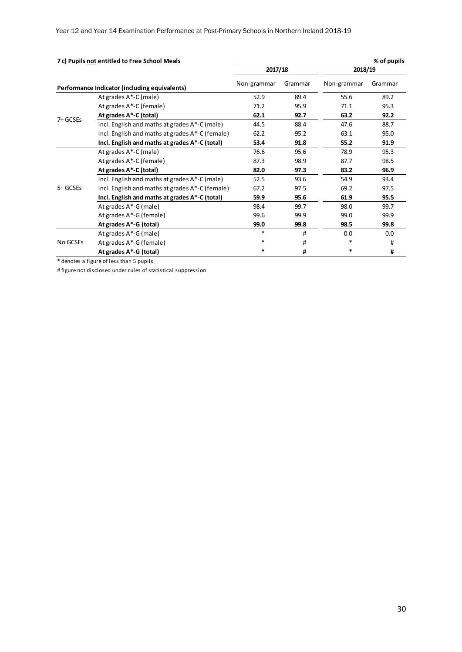|          | 7 c) Pupils not entitled to Free School Meals   |             |         |             | % of pupils |  |
|----------|-------------------------------------------------|-------------|---------|-------------|-------------|--|
|          |                                                 | 2017/18     |         | 2018/19     |             |  |
|          | Performance Indicator (including equivalents)   | Non-grammar | Grammar | Non-grammar | Grammar     |  |
|          | At grades A*-C (male)                           | 52.9        | 89.4    | 55.6        | 89.2        |  |
|          | At grades A*-C (female)                         | 71.2        | 95.9    | 71.1        | 95.3        |  |
| 7+ GCSEs | At grades A*-C (total)                          | 62.1        | 92.7    | 63.2        | 92.2        |  |
|          | Incl. English and maths at grades A*-C (male)   | 44.5        | 88.4    | 47.6        | 88.7        |  |
|          | Incl. English and maths at grades A*-C (female) | 62.2        | 95.2    | 63.1        | 95.0        |  |
|          | Incl. English and maths at grades A*-C (total)  | 53.4        | 91.8    | 55.2        | 91.9        |  |
|          | At grades A*-C (male)                           | 76.6        | 95.6    | 78.9        | 95.3        |  |
|          | At grades A*-C (female)                         | 87.3        | 98.9    | 87.7        | 98.5        |  |
|          | At grades A*-C (total)                          | 82.0        | 97.3    | 83.2        | 96.9        |  |
|          | Incl. English and maths at grades A*-C (male)   | 52.5        | 93.6    | 54.9        | 93.4        |  |
| 5+ GCSEs | Incl. English and maths at grades A*-C (female) | 67.2        | 97.5    | 69.2        | 97.5        |  |
|          | Incl. English and maths at grades A*-C (total)  | 59.9        | 95.6    | 61.9        | 95.5        |  |
|          | At grades A*-G (male)                           | 98.4        | 99.7    | 98.0        | 99.7        |  |
|          | At grades A*-G (female)                         | 99.6        | 99.9    | 99.0        | 99.9        |  |
|          | At grades A*-G (total)                          | 99.0        | 99.8    | 98.5        | 99.8        |  |
|          | At grades A*-G (male)                           | $\ast$      | #       | 0.0         | 0.0         |  |
| No GCSEs | At grades A*-G (female)                         | *           | #       |             | #           |  |
|          | At grades A*-G (total)                          | *           | #       | $\ast$      | #           |  |

 $\mathcal{L}_{\text{max}}$  and  $\mathcal{L}_{\text{max}}$ 

 $\mathcal{L}_{\text{max}}$  and  $\mathcal{L}_{\text{max}}$  are the set of the set of the set of  $\mathcal{L}_{\text{max}}$ 

\* denotes a figure of less than 5 pupils

# figure not disclosed under rules of statistical suppression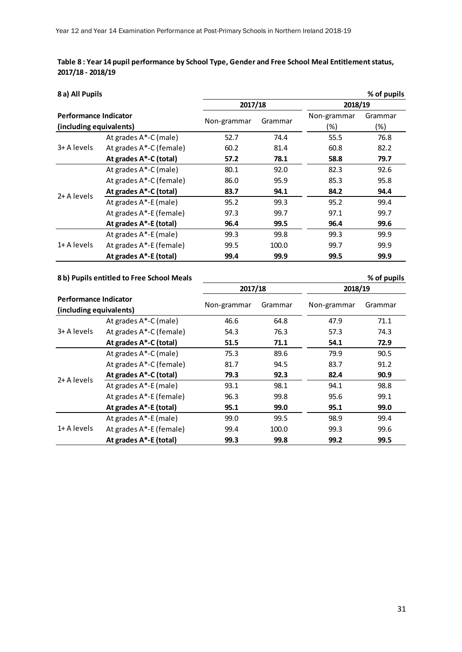### **Table 8 : Year 14 pupil performance by School Type, Gender and Free School Meal Entitlement status, 2017/18 - 2018/19**

| 8 a) All Pupils              |                         |             |         |             | % of pupils |
|------------------------------|-------------------------|-------------|---------|-------------|-------------|
|                              |                         | 2017/18     |         | 2018/19     |             |
| <b>Performance Indicator</b> |                         |             |         | Non-grammar | Grammar     |
| (including equivalents)      |                         | Non-grammar | Grammar | (%)         | (%)         |
|                              | At grades A*-C (male)   | 52.7        | 74.4    | 55.5        | 76.8        |
| 3+ A levels                  | At grades A*-C (female) | 60.2        | 81.4    | 60.8        | 82.2        |
|                              | At grades A*-C (total)  | 57.2        | 78.1    | 58.8        | 79.7        |
|                              | At grades A*-C (male)   | 80.1        | 92.0    | 82.3        | 92.6        |
|                              | At grades A*-C (female) | 86.0        | 95.9    | 85.3        | 95.8        |
| 2+ A levels                  | At grades A*-C (total)  | 83.7        | 94.1    | 84.2        | 94.4        |
|                              | At grades A*-E (male)   | 95.2        | 99.3    | 95.2        | 99.4        |
|                              | At grades A*-E (female) | 97.3        | 99.7    | 97.1        | 99.7        |
|                              | At grades A*-E (total)  | 96.4        | 99.5    | 96.4        | 99.6        |
|                              | At grades A*-E (male)   | 99.3        | 99.8    | 99.3        | 99.9        |
| $1+$ A levels                | At grades A*-E (female) | 99.5        | 100.0   | 99.7        | 99.9        |
|                              | At grades A*-E (total)  | 99.4        | 99.9    | 99.5        | 99.9        |

#### **8 b) Pupils entitled to Free School Meals % of pupils**

#### Non-grammar Grammar Non-grammar Grammar At grades A<sup>\*</sup>-C (male) 46.6 64.8 47.9 71.1 At grades A<sup>\*</sup>-C (female) 54.3 76.3 57.3 74.3 **At grades A\*-C (total) 51.5 71.1 54.1 72.9** At grades A<sup>\*</sup>-C (male) **75.3** 89.6 79.9 90.5 At grades A<sup>\*</sup>-C (female) 81.7 94.5 83.7 91.2 **At grades A\*-C (total) 79.3 92.3 82.4 90.9** At grades A\*-E (male) 93.1 98.1 94.1 98.8 At grades A<sup>\*</sup>-E (female) 96.3 99.8 95.6 99.1 **At grades A\*-E (total) 95.1 99.0 95.1 99.0** At grades A\*-E (male) 99.0 99.5 98.9 99.4 At grades A\*-E (female) 99.4 100.0 99.3 99.6 **At grades A\*-E (total) 99.3 99.8 99.2 99.5 2017/18 2018/19 Performance Indicator (including equivalents)** 3+ A levels 2+ A levels 1+ A levels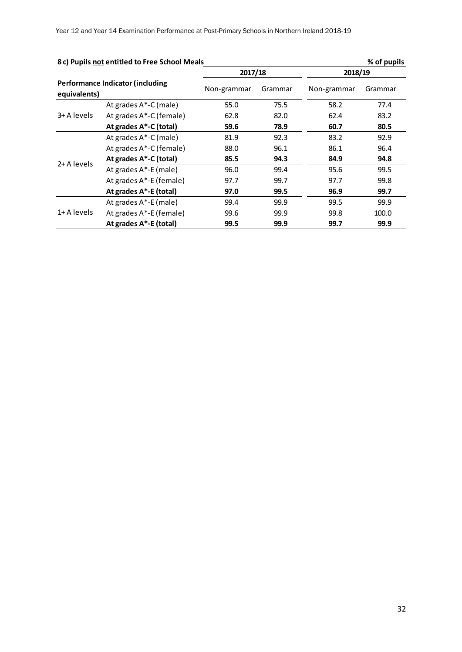Year 12 and Year 14 Examination Performance at Post-Primary Schools in Northern Ireland 2018-19

| 8 c) Pupils not entitled to Free School Meals<br>% of pupils |                         |             |         |             |         |  |  |
|--------------------------------------------------------------|-------------------------|-------------|---------|-------------|---------|--|--|
|                                                              |                         | 2017/18     |         |             | 2018/19 |  |  |
| <b>Performance Indicator (including</b><br>equivalents)      |                         | Non-grammar | Grammar | Non-grammar | Grammar |  |  |
|                                                              | At grades A*-C (male)   | 55.0        | 75.5    | 58.2        | 77.4    |  |  |
| 3+ A levels                                                  | At grades A*-C (female) | 62.8        | 82.0    | 62.4        | 83.2    |  |  |
|                                                              | At grades A*-C (total)  | 59.6        | 78.9    | 60.7        | 80.5    |  |  |
|                                                              | At grades A*-C (male)   | 81.9        | 92.3    | 83.2        | 92.9    |  |  |
|                                                              | At grades A*-C (female) | 88.0        | 96.1    | 86.1        | 96.4    |  |  |
| $2+$ A levels                                                | At grades A*-C (total)  | 85.5        | 94.3    | 84.9        | 94.8    |  |  |
|                                                              | At grades A*-E (male)   | 96.0        | 99.4    | 95.6        | 99.5    |  |  |
|                                                              | At grades A*-E (female) | 97.7        | 99.7    | 97.7        | 99.8    |  |  |
|                                                              | At grades A*-E (total)  | 97.0        | 99.5    | 96.9        | 99.7    |  |  |
| 1+ A levels                                                  | At grades A*-E (male)   | 99.4        | 99.9    | 99.5        | 99.9    |  |  |
|                                                              | At grades A*-E (female) | 99.6        | 99.9    | 99.8        | 100.0   |  |  |
|                                                              | At grades A*-E (total)  | 99.5        | 99.9    | 99.7        | 99.9    |  |  |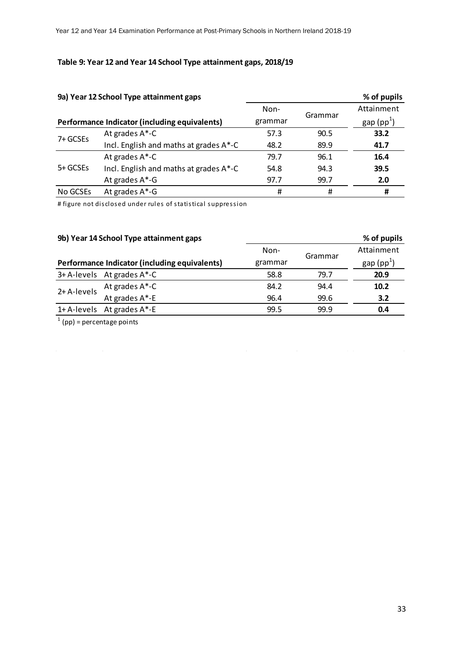### **Table 9: Year 12 and Year 14 School Type attainment gaps, 2018/19**

|                                               | 9a) Year 12 School Type attainment gaps |         |         | % of pupils            |
|-----------------------------------------------|-----------------------------------------|---------|---------|------------------------|
|                                               |                                         | Non-    |         | Attainment             |
| Performance Indicator (including equivalents) |                                         | grammar | Grammar | gap (pp <sup>1</sup> ) |
| 7+ GCSEs                                      | At grades A*-C                          | 57.3    | 90.5    | 33.2                   |
|                                               | Incl. English and maths at grades A*-C  | 48.2    | 89.9    | 41.7                   |
|                                               | At grades A*-C                          | 79.7    | 96.1    | 16.4                   |
| 5+ GCSEs                                      | Incl. English and maths at grades A*-C  | 54.8    | 94.3    | 39.5                   |
|                                               | At grades A*-G                          | 97.7    | 99.7    | 2.0                    |
| No GCSEs                                      | At grades $A^*$ -G                      | #       | #       | #                      |

# figure not disclosed under rules of statistical suppression

| 9b) Year 14 School Type attainment gaps<br>% of pupils |                               |         |         |                        |  |  |
|--------------------------------------------------------|-------------------------------|---------|---------|------------------------|--|--|
|                                                        |                               | Non-    |         | Attainment             |  |  |
| Performance Indicator (including equivalents)          |                               | grammar | Grammar | gap (pp <sup>1</sup> ) |  |  |
|                                                        | $3+$ A-levels At grades A*-C  | 58.8    | 79.7    | 20.9                   |  |  |
| 2+A-levels                                             | At grades A*-C                | 84.2    | 94.4    | 10.2                   |  |  |
|                                                        | At grades A*-E                | 96.4    | 99.6    | 3.2                    |  |  |
|                                                        | 1+A-levels At grades $A^*$ -E | 99.5    | 99.9    | 0.4                    |  |  |
| $1 \cdot \cdot \cdot$                                  |                               |         |         |                        |  |  |

 $\mathcal{L}(\mathcal{L})$  and  $\mathcal{L}(\mathcal{L})$  .

 $1$  (pp) = percentage points

 $\mathcal{L}_{\text{max}}$  and  $\mathcal{L}_{\text{max}}$  . The set of  $\mathcal{L}_{\text{max}}$ 

 $\hat{\mathbf{r}}$ 

 $\bar{z}$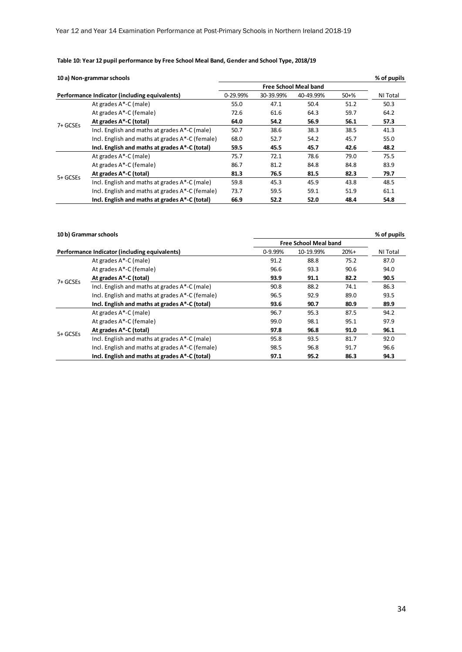### **Table 10: Year 12 pupil performance by Free School Meal Band, Gender and School Type, 2018/19**

|          | 10 a) Non-grammar schools                       |          |           |           |           | % of pupils |
|----------|-------------------------------------------------|----------|-----------|-----------|-----------|-------------|
|          |                                                 |          |           |           |           |             |
|          | Performance Indicator (including equivalents)   | 0-29.99% | 30-39.99% | 40-49.99% | $50 + \%$ | NI Total    |
|          | At grades A*-C (male)                           | 55.0     | 47.1      | 50.4      | 51.2      | 50.3        |
| 7+ GCSEs | At grades A*-C (female)                         | 72.6     | 61.6      | 64.3      | 59.7      | 64.2        |
|          | At grades A*-C (total)                          | 64.0     | 54.2      | 56.9      | 56.1      | 57.3        |
|          | Incl. English and maths at grades A*-C (male)   | 50.7     | 38.6      | 38.3      | 38.5      | 41.3        |
|          | Incl. English and maths at grades A*-C (female) | 68.0     | 52.7      | 54.2      | 45.7      | 55.0        |
|          | Incl. English and maths at grades A*-C (total)  | 59.5     | 45.5      | 45.7      | 42.6      | 48.2        |
|          | At grades A*-C (male)                           | 75.7     | 72.1      | 78.6      | 79.0      | 75.5        |
|          | At grades A*-C (female)                         | 86.7     | 81.2      | 84.8      | 84.8      | 83.9        |
| 5+ GCSEs | At grades A*-C (total)                          | 81.3     | 76.5      | 81.5      | 82.3      | 79.7        |
|          | Incl. English and maths at grades A*-C (male)   | 59.8     | 45.3      | 45.9      | 43.8      | 48.5        |
|          | Incl. English and maths at grades A*-C (female) | 73.7     | 59.5      | 59.1      | 51.9      | 61.1        |
|          | Incl. English and maths at grades A*-C (total)  | 66.9     | 52.2      | 52.0      | 48.4      | 54.8        |

|          | 10b) Grammar schools                            |                              |           |        | % of pupils |
|----------|-------------------------------------------------|------------------------------|-----------|--------|-------------|
|          |                                                 | <b>Free School Meal band</b> |           |        |             |
|          | Performance Indicator (including equivalents)   | $0 - 9.99%$                  | 10-19.99% | $20%+$ | NI Total    |
|          | At grades A*-C (male)                           | 91.2                         | 88.8      | 75.2   | 87.0        |
|          | At grades A*-C (female)                         | 96.6                         | 93.3      | 90.6   | 94.0        |
| 7+ GCSEs | At grades A*-C (total)                          | 93.9                         | 91.1      | 82.2   | 90.5        |
|          | Incl. English and maths at grades A*-C (male)   | 90.8                         | 88.2      | 74.1   | 86.3        |
|          | Incl. English and maths at grades A*-C (female) | 96.5                         | 92.9      | 89.0   | 93.5        |
|          | Incl. English and maths at grades A*-C (total)  | 93.6                         | 90.7      | 80.9   | 89.9        |
|          | At grades A*-C (male)                           | 96.7                         | 95.3      | 87.5   | 94.2        |
|          | At grades A*-C (female)                         | 99.0                         | 98.1      | 95.1   | 97.9        |
| 5+ GCSEs | At grades A*-C (total)                          | 97.8                         | 96.8      | 91.0   | 96.1        |
|          | Incl. English and maths at grades A*-C (male)   | 95.8                         | 93.5      | 81.7   | 92.0        |
|          | Incl. English and maths at grades A*-C (female) | 98.5                         | 96.8      | 91.7   | 96.6        |
|          | Incl. English and maths at grades A*-C (total)  | 97.1                         | 95.2      | 86.3   | 94.3        |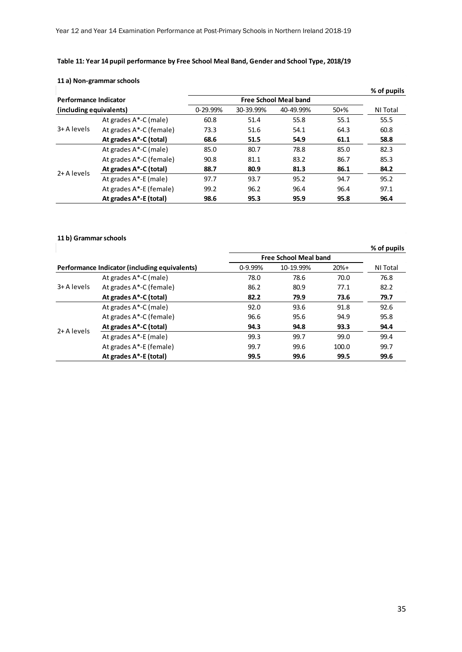#### **Table 11: Year 14 pupil performance by Free School Meal Band, Gender and School Type, 2018/19**

#### **11 a) Non-grammar schools**

|                         |                         |          |                              |           |           | % of pupils |  |  |  |
|-------------------------|-------------------------|----------|------------------------------|-----------|-----------|-------------|--|--|--|
|                         | Performance Indicator   |          | <b>Free School Meal band</b> |           |           |             |  |  |  |
| (including equivalents) |                         | 0-29.99% | 30-39.99%                    | 40-49.99% | $50 + \%$ | NI Total    |  |  |  |
| 3+ A levels             | At grades A*-C (male)   | 60.8     | 51.4                         | 55.8      | 55.1      | 55.5        |  |  |  |
|                         | At grades A*-C (female) | 73.3     | 51.6                         | 54.1      | 64.3      | 60.8        |  |  |  |
|                         | At grades A*-C (total)  | 68.6     | 51.5                         | 54.9      | 61.1      | 58.8        |  |  |  |
|                         | At grades A*-C (male)   | 85.0     | 80.7                         | 78.8      | 85.0      | 82.3        |  |  |  |
|                         | At grades A*-C (female) | 90.8     | 81.1                         | 83.2      | 86.7      | 85.3        |  |  |  |
| 2+ A levels             | At grades A*-C (total)  | 88.7     | 80.9                         | 81.3      | 86.1      | 84.2        |  |  |  |
|                         | At grades A*-E (male)   | 97.7     | 93.7                         | 95.2      | 94.7      | 95.2        |  |  |  |
|                         | At grades A*-E (female) | 99.2     | 96.2                         | 96.4      | 96.4      | 97.1        |  |  |  |
|                         | At grades A*-E (total)  | 98.6     | 95.3                         | 95.9      | 95.8      | 96.4        |  |  |  |

#### **11 b) Grammar schools**

| <b>LL WI QIAHHHAI SUIUUIS</b> |                                               |         |                              |        |             |
|-------------------------------|-----------------------------------------------|---------|------------------------------|--------|-------------|
|                               |                                               |         |                              |        | % of pupils |
|                               |                                               |         | <b>Free School Meal band</b> |        |             |
|                               | Performance Indicator (including equivalents) | 0-9.99% | 10-19.99%                    | $20%+$ | NI Total    |
|                               | At grades A*-C (male)                         | 78.0    | 78.6                         | 70.0   | 76.8        |
| 3+ A levels                   | At grades A*-C (female)                       | 86.2    | 80.9                         | 77.1   | 82.2        |
|                               | At grades A*-C (total)                        | 82.2    | 79.9                         | 73.6   | 79.7        |
|                               | At grades A*-C (male)                         | 92.0    | 93.6                         | 91.8   | 92.6        |
|                               | At grades A*-C (female)                       | 96.6    | 95.6                         | 94.9   | 95.8        |
| 2+ A levels                   | At grades A*-C (total)                        | 94.3    | 94.8                         | 93.3   | 94.4        |
|                               | At grades A*-E (male)                         | 99.3    | 99.7                         | 99.0   | 99.4        |
|                               | At grades A*-E (female)                       | 99.7    | 99.6                         | 100.0  | 99.7        |
|                               | At grades A*-E (total)                        | 99.5    | 99.6                         | 99.5   | 99.6        |
|                               |                                               |         |                              |        |             |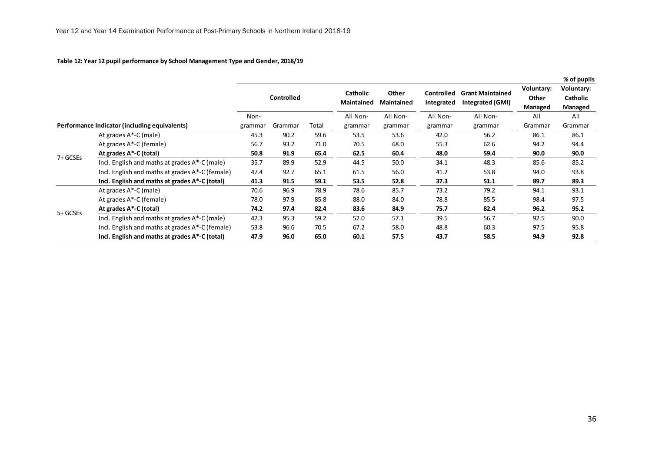#### **Table 12: Year 12 pupil performance by School Management Type and Gender, 2018/19**

|          |                                                 |         |            |       |                               |                     |                                 |                                             |                                | % of pupils                       |
|----------|-------------------------------------------------|---------|------------|-------|-------------------------------|---------------------|---------------------------------|---------------------------------------------|--------------------------------|-----------------------------------|
|          |                                                 |         | Controlled |       | <b>Catholic</b><br>Maintained | Other<br>Maintained | <b>Controlled</b><br>Integrated | <b>Grant Maintained</b><br>Integrated (GMI) | Voluntary:<br>Other<br>Managed | Voluntary:<br>Catholic<br>Managed |
|          |                                                 | Non-    |            |       | All Non-                      | All Non-            | All Non-                        | All Non-                                    | All                            | All                               |
|          | Performance Indicator (including equivalents)   | grammar | Grammar    | Total | grammar                       | grammar             | grammar                         | grammar                                     | Grammar                        | Grammar                           |
| 7+ GCSEs | At grades A*-C (male)                           | 45.3    | 90.2       | 59.6  | 53.5                          | 53.6                | 42.0                            | 56.2                                        | 86.1                           | 86.1                              |
|          | At grades A*-C (female)                         | 56.7    | 93.2       | 71.0  | 70.5                          | 68.0                | 55.3                            | 62.6                                        | 94.2                           | 94.4                              |
|          | At grades A*-C (total)                          | 50.8    | 91.9       | 65.4  | 62.5                          | 60.4                | 48.0                            | 59.4                                        | 90.0                           | 90.0                              |
|          | Incl. English and maths at grades A*-C (male)   | 35.7    | 89.9       | 52.9  | 44.5                          | 50.0                | 34.1                            | 48.3                                        | 85.6                           | 85.2                              |
|          | Incl. English and maths at grades A*-C (female) | 47.4    | 92.7       | 65.1  | 61.5                          | 56.0                | 41.2                            | 53.8                                        | 94.0                           | 93.8                              |
|          | Incl. English and maths at grades A*-C (total)  | 41.3    | 91.5       | 59.1  | 53.5                          | 52.8                | 37.3                            | 51.1                                        | 89.7                           | 89.3                              |
|          | At grades A*-C (male)                           | 70.6    | 96.9       | 78.9  | 78.6                          | 85.7                | 73.2                            | 79.2                                        | 94.1                           | 93.1                              |
|          | At grades A*-C (female)                         | 78.0    | 97.9       | 85.8  | 88.0                          | 84.0                | 78.8                            | 85.5                                        | 98.4                           | 97.5                              |
| 5+ GCSEs | At grades A*-C (total)                          | 74.2    | 97.4       | 82.4  | 83.6                          | 84.9                | 75.7                            | 82.4                                        | 96.2                           | 95.2                              |
|          | Incl. English and maths at grades A*-C (male)   | 42.3    | 95.3       | 59.2  | 52.0                          | 57.1                | 39.5                            | 56.7                                        | 92.5                           | 90.0                              |
|          | Incl. English and maths at grades A*-C (female) | 53.8    | 96.6       | 70.5  | 67.2                          | 58.0                | 48.8                            | 60.3                                        | 97.5                           | 95.8                              |
|          | Incl. English and maths at grades A*-C (total)  | 47.9    | 96.0       | 65.0  | 60.1                          | 57.5                | 43.7                            | 58.5                                        | 94.9                           | 92.8                              |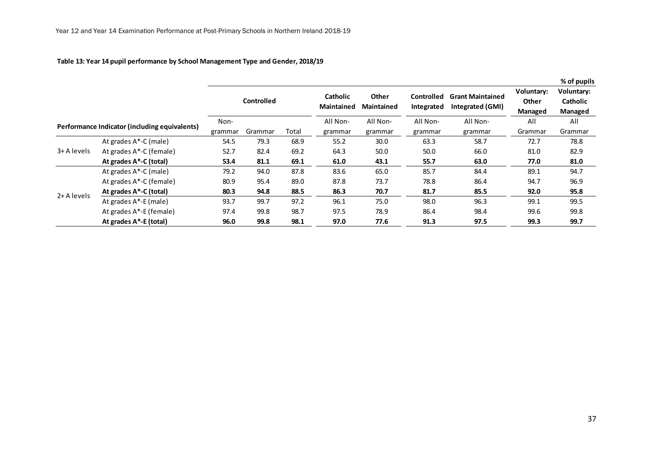### **Table 13: Year 14 pupil performance by School Management Type and Gender, 2018/19**

|                                               |                         |         |                   |       |                                      |                                   |                                 |                                             |                                | % of pupils                                     |
|-----------------------------------------------|-------------------------|---------|-------------------|-------|--------------------------------------|-----------------------------------|---------------------------------|---------------------------------------------|--------------------------------|-------------------------------------------------|
|                                               |                         |         | <b>Controlled</b> |       | <b>Catholic</b><br><b>Maintained</b> | <b>Other</b><br><b>Maintained</b> | <b>Controlled</b><br>Integrated | <b>Grant Maintained</b><br>Integrated (GMI) | Voluntary:<br>Other<br>Managed | <b>Voluntary:</b><br><b>Catholic</b><br>Managed |
| Performance Indicator (including equivalents) |                         | Non-    |                   |       | All Non-                             | All Non-                          | All Non-                        | All Non-                                    | All                            | All                                             |
|                                               |                         | grammar | Grammar           | Total | grammar                              | grammar                           | grammar                         | grammar                                     | Grammar                        | Grammar                                         |
| 3+ A levels                                   | At grades A*-C (male)   | 54.5    | 79.3              | 68.9  | 55.2                                 | 30.0                              | 63.3                            | 58.7                                        | 72.7                           | 78.8                                            |
|                                               | At grades A*-C (female) | 52.7    | 82.4              | 69.2  | 64.3                                 | 50.0                              | 50.0                            | 66.0                                        | 81.0                           | 82.9                                            |
|                                               | At grades A*-C (total)  | 53.4    | 81.1              | 69.1  | 61.0                                 | 43.1                              | 55.7                            | 63.0                                        | 77.0                           | 81.0                                            |
|                                               | At grades A*-C (male)   | 79.2    | 94.0              | 87.8  | 83.6                                 | 65.0                              | 85.7                            | 84.4                                        | 89.1                           | 94.7                                            |
|                                               | At grades A*-C (female) | 80.9    | 95.4              | 89.0  | 87.8                                 | 73.7                              | 78.8                            | 86.4                                        | 94.7                           | 96.9                                            |
| 2+ A levels                                   | At grades A*-C (total)  | 80.3    | 94.8              | 88.5  | 86.3                                 | 70.7                              | 81.7                            | 85.5                                        | 92.0                           | 95.8                                            |
|                                               | At grades A*-E (male)   | 93.7    | 99.7              | 97.2  | 96.1                                 | 75.0                              | 98.0                            | 96.3                                        | 99.1                           | 99.5                                            |
|                                               | At grades A*-E (female) | 97.4    | 99.8              | 98.7  | 97.5                                 | 78.9                              | 86.4                            | 98.4                                        | 99.6                           | 99.8                                            |
|                                               | At grades A*-E (total)  | 96.0    | 99.8              | 98.1  | 97.0                                 | 77.6                              | 91.3                            | 97.5                                        | 99.3                           | 99.7                                            |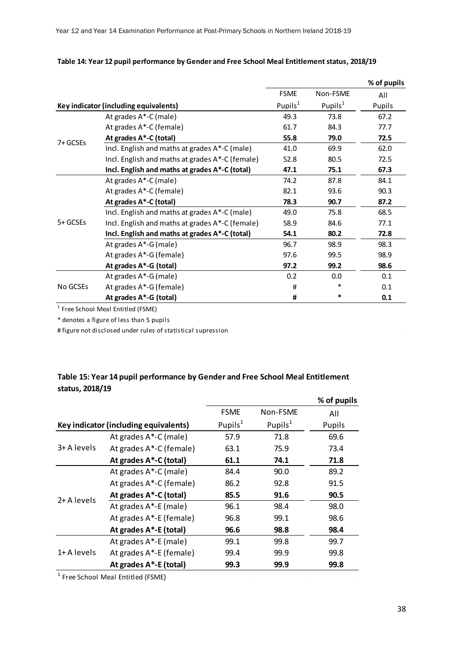|          |                                                 |                     |            | % of pupils |
|----------|-------------------------------------------------|---------------------|------------|-------------|
|          |                                                 | <b>FSME</b>         | Non-FSME   | All         |
|          | Key indicator (including equivalents)           | Pupils <sup>1</sup> | Pupils $1$ | Pupils      |
|          | At grades A*-C (male)                           | 49.3                | 73.8       | 67.2        |
|          | At grades A*-C (female)                         | 61.7                | 84.3       | 77.7        |
| 7+ GCSEs | At grades A*-C (total)                          | 55.8                | 79.0       | 72.5        |
|          | Incl. English and maths at grades A*-C (male)   | 41.0                | 69.9       | 62.0        |
|          | Incl. English and maths at grades A*-C (female) | 52.8                | 80.5       | 72.5        |
|          | Incl. English and maths at grades A*-C (total)  | 47.1                | 75.1       | 67.3        |
|          | At grades A*-C (male)                           | 74.2                | 87.8       | 84.1        |
|          | At grades A*-C (female)                         | 82.1                | 93.6       | 90.3        |
|          | At grades A*-C (total)                          | 78.3                | 90.7       | 87.2        |
|          | Incl. English and maths at grades A*-C (male)   | 49.0                | 75.8       | 68.5        |
| 5+ GCSEs | Incl. English and maths at grades A*-C (female) | 58.9                | 84.6       | 77.1        |
|          | Incl. English and maths at grades A*-C (total)  | 54.1                | 80.2       | 72.8        |
|          | At grades A*-G (male)                           | 96.7                | 98.9       | 98.3        |
|          | At grades A*-G (female)                         | 97.6                | 99.5       | 98.9        |
|          | At grades A*-G (total)                          | 97.2                | 99.2       | 98.6        |
|          | At grades A*-G (male)                           | 0.2                 | 0.0        | 0.1         |
| No GCSEs | At grades A*-G (female)                         | #                   | *          | 0.1         |
|          | At grades A*-G (total)                          | #                   | $\ast$     | 0.1         |

#### **Table 14: Year 12 pupil performance by Gender and Free School Meal Entitlement status, 2018/19**

<sup>1</sup> Free School Meal Entitled (FSME)

\* denotes a figure of less than 5 pupils

# figure not disclosed under rules of statistical supression

### **Table 15: Year 14 pupil performance by Gender and Free School Meal Entitlement status, 2018/19**

|                                       |                         |             |            | % of pupils |
|---------------------------------------|-------------------------|-------------|------------|-------------|
|                                       |                         | <b>FSME</b> | Non-FSME   | All         |
| Key indicator (including equivalents) |                         | Pupils $1$  | Pupils $1$ | Pupils      |
| 3+ A levels                           | At grades A*-C (male)   | 57.9        | 71.8       | 69.6        |
|                                       | At grades A*-C (female) | 63.1        | 75.9       | 73.4        |
|                                       | At grades A*-C (total)  | 61.1        | 74.1       | 71.8        |
| 2+ A levels                           | At grades A*-C (male)   | 84.4        | 90.0       | 89.2        |
|                                       | At grades A*-C (female) | 86.2        | 92.8       | 91.5        |
|                                       | At grades A*-C (total)  | 85.5        | 91.6       | 90.5        |
|                                       | At grades A*-E (male)   | 96.1        | 98.4       | 98.0        |
|                                       | At grades A*-E (female) | 96.8        | 99.1       | 98.6        |
|                                       | At grades A*-E (total)  | 96.6        | 98.8       | 98.4        |
| 1+ A levels                           | At grades A*-E (male)   | 99.1        | 99.8       | 99.7        |
|                                       | At grades A*-E (female) | 99.4        | 99.9       | 99.8        |
|                                       | At grades A*-E (total)  | 99.3        | 99.9       | 99.8        |

<sup>1</sup> Free School Meal Entitled (FSME)

 $\mathcal{L}_{\text{max}}$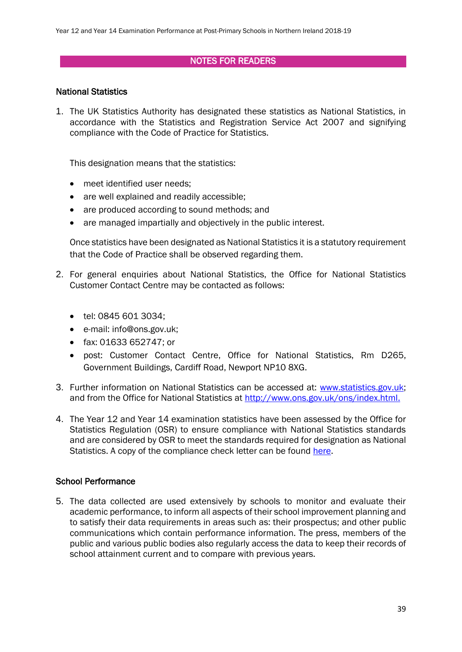### NOTES FOR READERS

### <span id="page-38-0"></span>National Statistics

1. The UK Statistics Authority has designated these statistics as National Statistics, in accordance with the Statistics and Registration Service Act 2007 and signifying compliance with the Code of Practice for Statistics.

This designation means that the statistics:

- meet identified user needs:
- are well explained and readily accessible;
- are produced according to sound methods; and
- are managed impartially and objectively in the public interest.

Once statistics have been designated as National Statistics it is a statutory requirement that the Code of Practice shall be observed regarding them.

- 2. For general enquiries about National Statistics, the Office for National Statistics Customer Contact Centre may be contacted as follows:
	- tel: 0845 601 3034;
	- e-mail: info@ons.gov.uk;
	- fax: 01633 652747; or
	- post: Customer Contact Centre, Office for National Statistics, Rm D265, Government Buildings, Cardiff Road, Newport NP10 8XG.
- 3. Further information on National Statistics can be accessed at: [www.statistics.gov.uk;](http://www.statistics.gov.uk/) and from the Office for National Statistics at [http://www.ons.gov.uk/ons/index.html.](http://www.ons.gov.uk/ons/index.html)
- 4. The Year 12 and Year 14 examination statistics have been assessed by the Office for Statistics Regulation (OSR) to ensure compliance with National Statistics standards and are considered by OSR to meet the standards required for designation as National Statistics. A copy of the compliance check letter can be found [here.](https://www.statisticsauthority.gov.uk/correspondence/compliance-check-of-northern-ireland-school-examination-performance/)

#### School Performance

5. The data collected are used extensively by schools to monitor and evaluate their academic performance, to inform all aspects of their school improvement planning and to satisfy their data requirements in areas such as: their prospectus; and other public communications which contain performance information. The press, members of the public and various public bodies also regularly access the data to keep their records of school attainment current and to compare with previous years.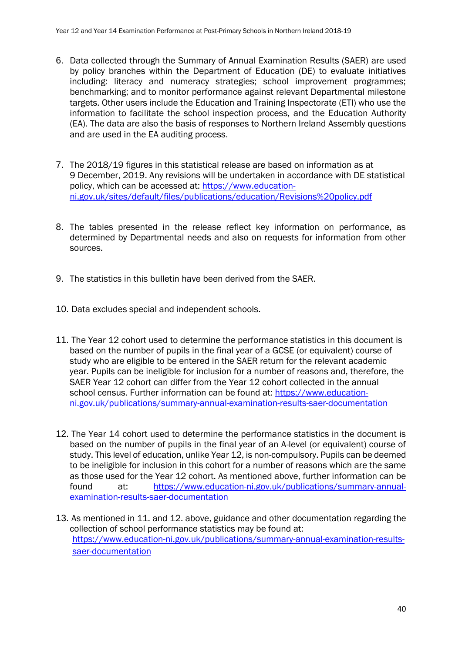- 6. Data collected through the Summary of Annual Examination Results (SAER) are used by policy branches within the Department of Education (DE) to evaluate initiatives including: literacy and numeracy strategies; school improvement programmes; benchmarking; and to monitor performance against relevant Departmental milestone targets. Other users include the Education and Training Inspectorate (ETI) who use the information to facilitate the school inspection process, and the Education Authority (EA). The data are also the basis of responses to Northern Ireland Assembly questions and are used in the EA auditing process.
- 7. The 2018/19 figures in this statistical release are based on information as at 9 December, 2019. Any revisions will be undertaken in accordance with DE statistical policy, which can be accessed at: [https://www.education](https://www.education-ni.gov.uk/sites/default/files/publications/education/Revisions%20policy.pdf)[ni.gov.uk/sites/default/files/publications/education/Revisions%20policy.pdf](https://www.education-ni.gov.uk/sites/default/files/publications/education/Revisions%20policy.pdf)
- 8. The tables presented in the release reflect key information on performance, as determined by Departmental needs and also on requests for information from other sources.
- 9. The statistics in this bulletin have been derived from the SAER.
- 10. Data excludes special and independent schools.
- 11. The Year 12 cohort used to determine the performance statistics in this document is based on the number of pupils in the final year of a GCSE (or equivalent) course of study who are eligible to be entered in the SAER return for the relevant academic year. Pupils can be ineligible for inclusion for a number of reasons and, therefore, the SAER Year 12 cohort can differ from the Year 12 cohort collected in the annual school census. Further information can be found at: [https://www.education](https://www.education-ni.gov.uk/publications/summary-annual-examination-results-saer-documentation)[ni.gov.uk/publications/summary-annual-examination-results-saer-documentation](https://www.education-ni.gov.uk/publications/summary-annual-examination-results-saer-documentation)
- 12. The Year 14 cohort used to determine the performance statistics in the document is based on the number of pupils in the final year of an A-level (or equivalent) course of study. This level of education, unlike Year 12, is non-compulsory. Pupils can be deemed to be ineligible for inclusion in this cohort for a number of reasons which are the same as those used for the Year 12 cohort. As mentioned above, further information can be found at: [https://www.education-ni.gov.uk/publications/summary-annual](https://www.education-ni.gov.uk/publications/summary-annual-examination-results-saer-documentation)[examination-results-saer-documentation](https://www.education-ni.gov.uk/publications/summary-annual-examination-results-saer-documentation)
- 13. As mentioned in 11. and 12. above, guidance and other documentation regarding the collection of school performance statistics may be found at: [https://www.education-ni.gov.uk/publications/summary-annual-examination-results](https://www.education-ni.gov.uk/publications/summary-annual-examination-results-saer-documentation)[saer-documentation](https://www.education-ni.gov.uk/publications/summary-annual-examination-results-saer-documentation)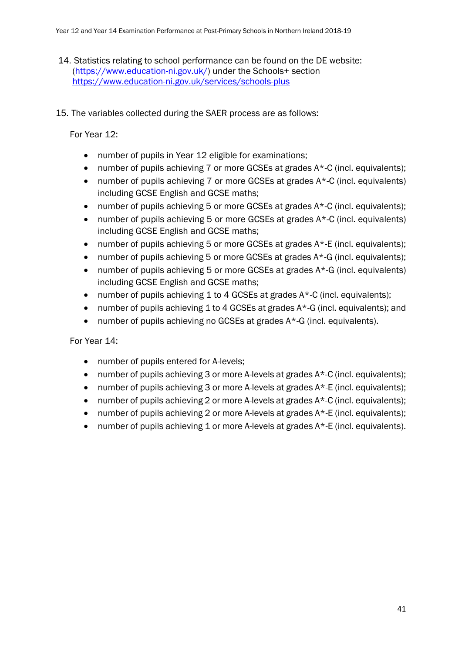- 14. Statistics relating to school performance can be found on the DE website: [\(https://www.education-ni.gov.uk/\)](https://www.education-ni.gov.uk/) under the Schools+ section <https://www.education-ni.gov.uk/services/schools-plus>
- 15. The variables collected during the SAER process are as follows:

For Year 12:

- number of pupils in Year 12 eligible for examinations;
- number of pupils achieving 7 or more GCSEs at grades A\*-C (incl. equivalents);
- number of pupils achieving 7 or more GCSEs at grades A<sup>\*-</sup>C (incl. equivalents) including GCSE English and GCSE maths;
- number of pupils achieving 5 or more GCSEs at grades A<sup>\*</sup>-C (incl. equivalents);
- number of pupils achieving 5 or more GCSEs at grades A\*-C (incl. equivalents) including GCSE English and GCSE maths;
- number of pupils achieving 5 or more GCSEs at grades A\*-E (incl. equivalents);
- number of pupils achieving 5 or more GCSEs at grades A\*-G (incl. equivalents);
- number of pupils achieving 5 or more GCSEs at grades  $A^*$ -G (incl. equivalents) including GCSE English and GCSE maths;
- number of pupils achieving 1 to 4 GCSEs at grades A\*-C (incl. equivalents);
- number of pupils achieving 1 to 4 GCSEs at grades A\*-G (incl. equivalents); and
- number of pupils achieving no GCSEs at grades A\*-G (incl. equivalents).

For Year 14:

- number of pupils entered for A-levels;
- number of pupils achieving 3 or more A-levels at grades A\*-C (incl. equivalents);
- number of pupils achieving 3 or more A-levels at grades A\*-E (incl. equivalents);
- number of pupils achieving 2 or more A-levels at grades A\*-C (incl. equivalents);
- number of pupils achieving 2 or more A-levels at grades  $A^*$ -E (incl. equivalents);
- number of pupils achieving 1 or more A-levels at grades A\*-E (incl. equivalents).